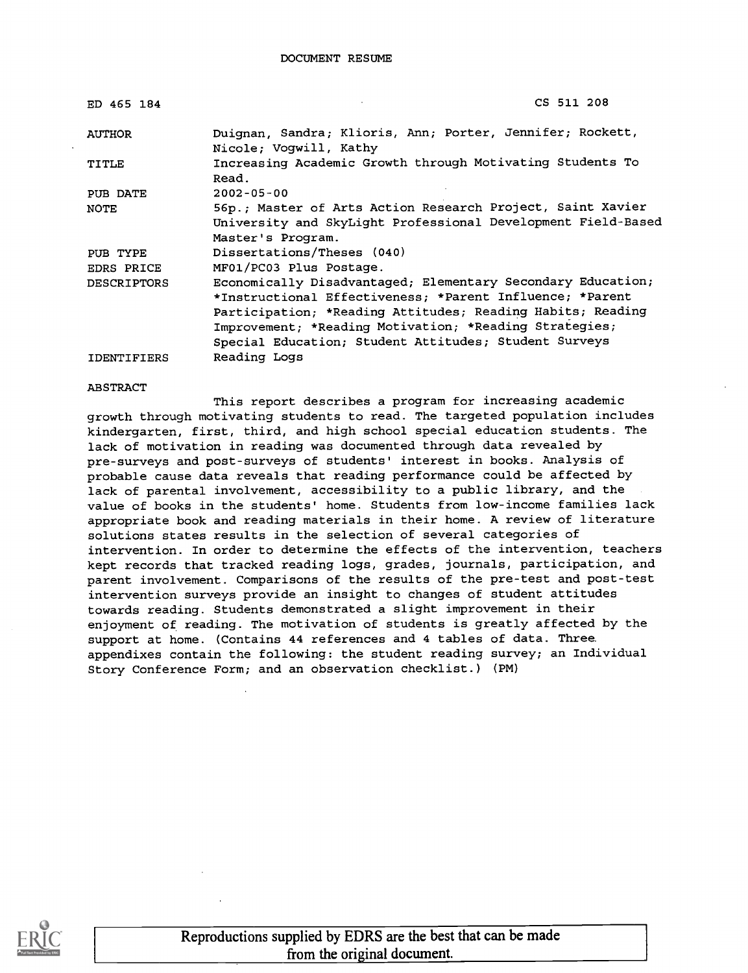| ED 465 184         | CS 511 208                                                   |
|--------------------|--------------------------------------------------------------|
| <b>AUTHOR</b>      | Duignan, Sandra; Klioris, Ann; Porter, Jennifer; Rockett,    |
|                    | Nicole: Voqwill, Kathy                                       |
| TITLE              | Increasing Academic Growth through Motivating Students To    |
|                    | Read.                                                        |
| PUB DATE           | $2002 - 05 - 00$                                             |
| NOTE               | 56p.; Master of Arts Action Research Project, Saint Xavier   |
|                    | University and SkyLight Professional Development Field-Based |
|                    | Master's Program.                                            |
| PUB TYPE           | Dissertations/Theses (040)                                   |
| <b>EDRS PRICE</b>  | MF01/PC03 Plus Postage.                                      |
| <b>DESCRIPTORS</b> | Economically Disadvantaged; Elementary Secondary Education;  |
|                    | *Instructional Effectiveness; *Parent Influence; *Parent     |
|                    | Participation; *Reading Attitudes; Reading Habits; Reading   |
|                    | Improvement; *Reading Motivation; *Reading Strategies;       |
|                    | Special Education; Student Attitudes; Student Surveys        |
| <b>IDENTIFIERS</b> | Reading Logs                                                 |

#### ABSTRACT

This report describes a program for increasing academic growth through motivating students to read. The targeted population includes kindergarten, first, third, and high school special education students. The lack of motivation in reading was documented through data revealed by pre-surveys and post-surveys of students' interest in books. Analysis of probable cause data reveals that reading performance could be affected by lack of parental involvement, accessibility to a public library, and the value of books in the students' home. Students from low-income families lack appropriate book and reading materials in their home. A review of literature solutions states results in the selection of several categories of intervention. In order to determine the effects of the intervention, teachers kept records that tracked reading logs, grades, journals, participation, and parent involvement. Comparisons of the results of the pre-test and post-test intervention surveys provide an insight to changes of student attitudes towards reading. Students demonstrated a slight improvement in their enjoyment of reading. The motivation of students is greatly affected by the support at home. (Contains 44 references and 4 tables of data. Three appendixes contain the following: the student reading survey; an Individual Story Conference Form; and an observation checklist.) (PM)

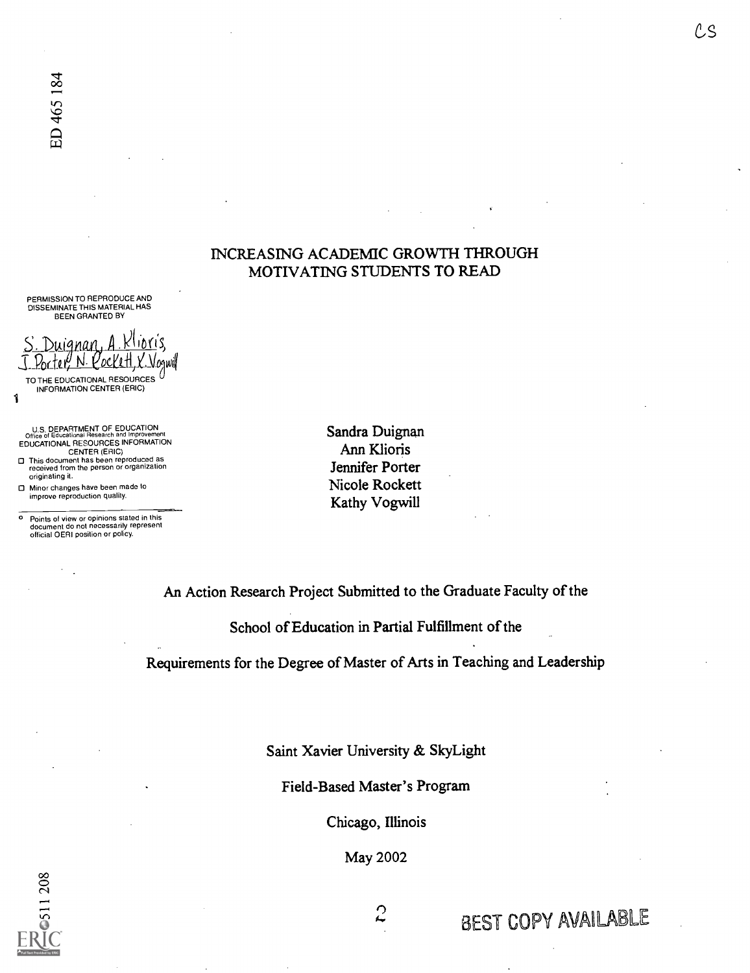#### INCREASING ACADEMIC GROWTH THROUGH MOTIVATING STUDENTS TO READ

PERMISSION TO REPRODUCE AND DISSEMINATE THIS MATERIAL HAS BEEN GRANTED BY

S. Duignan, A. Klipris, J. Porter, N. Cockett, X. Vogwill

1 TO THE EDUCATIONAL RESOURCES INFORMATION CENTER (ERIC)

U.S. DEPARTMENT OF EDUCATION Office of Educational Research and Improvement EDUCATIONAL RESOURCES INFORMATION CENTER (ERIC)

- O This document has been reproduced as received from the person or organization originating it.
- O Minor changes have been made to improve reproduction quality.

o Points of view or opinions stated in this document do not necessarily represent official OERI position or policy.

Sandra Duignan Ann Klioris Jennifer Porter Nicole Rockett Kathy Vogwill

An Action Research Project Submitted to the Graduate Faculty of the

School of Education in Partial Fulfillment of the

Requirements for the Degree of Master of Arts in Teaching and Leadership

Saint Xavier University & SkyLight

Field-Based Master's Program

Chicago, Illinois

May 2002

Ω ħ. BEST COPY AVAILABLE

CS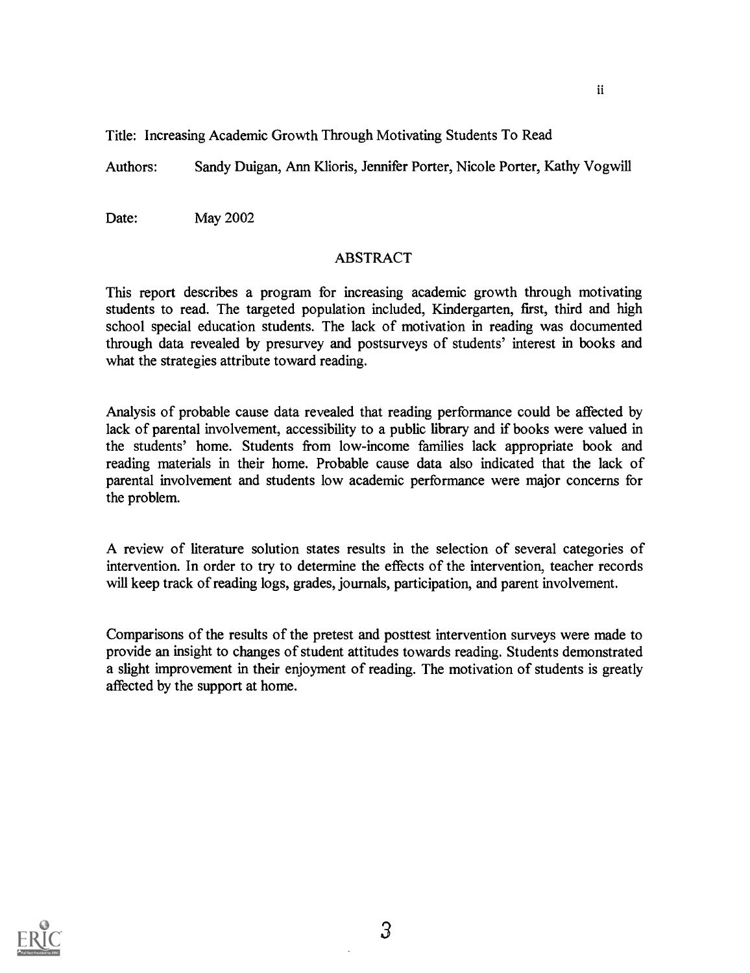Title: Increasing Academic Growth Through Motivating Students To Read

Authors: Sandy Duigan, Ann Klioris, Jennifer Porter, Nicole Porter, Kathy Vogwill

ii

Date: May 2002

#### ABSTRACT

This report describes a program for increasing academic growth through motivating students to read. The targeted population included, Kindergarten, first, third and high school special education students. The lack of motivation in reading was documented through data revealed by presurvey and postsurveys of students' interest in books and what the strategies attribute toward reading.

Analysis of probable cause data revealed that reading performance could be affected by lack of parental involvement, accessibility to a public library and if books were valued in the students' home. Students from low-income families lack appropriate book and reading materials in their home. Probable cause data also indicated that the lack of parental involvement and students low academic performance were major concerns for the problem.

A review of literature solution states results in the selection of several categories of intervention. In order to try to determine the effects of the intervention, teacher records will keep track of reading logs, grades, journals, participation, and parent involvement.

Comparisons of the results of the pretest and posttest intervention surveys were made to provide an insight to changes of student attitudes towards reading. Students demonstrated a slight improvement in their enjoyment of reading. The motivation of students is greatly affected by the support at home.

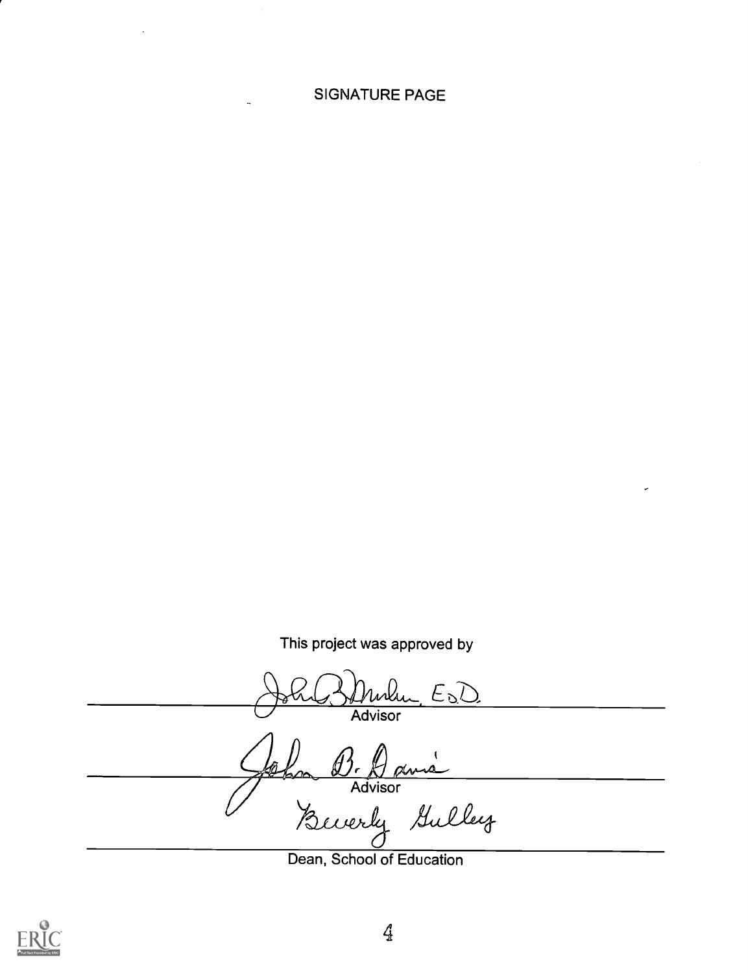#### SIGNATURE PAGE

This project was approved by

 $E_{\Omega}$ Advisor i  $\cancel{a}$ łì. p4AA.A.4-- Advisor<br>Bewerky Gulley

Dean, School of Education

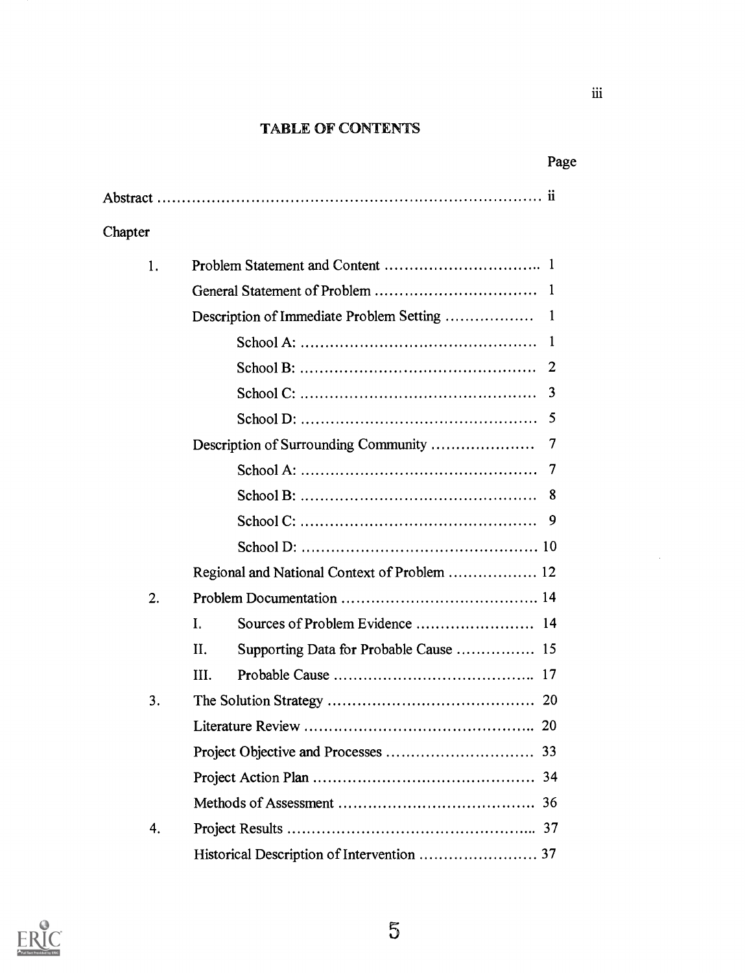#### TABLE OF CONTENTS

|         |                                                                                                   | Page         |
|---------|---------------------------------------------------------------------------------------------------|--------------|
|         |                                                                                                   |              |
| Chapter |                                                                                                   |              |
|         |                                                                                                   |              |
| 1.      |                                                                                                   |              |
|         |                                                                                                   |              |
|         |                                                                                                   | $\mathbf{I}$ |
|         |                                                                                                   | -1           |
|         |                                                                                                   | 2            |
|         |                                                                                                   | 3            |
|         |                                                                                                   | 5            |
|         | Description of Surrounding Community                                                              | 7            |
|         |                                                                                                   | 7            |
|         |                                                                                                   | 8            |
|         | $\text{School C: } \dots \dots \dots \dots \dots \dots \dots \dots \dots \dots \dots \dots \dots$ | 9            |
|         |                                                                                                   |              |
|         | Regional and National Context of Problem  12                                                      |              |
| 2.      |                                                                                                   |              |
|         | Ι.                                                                                                |              |
|         | II.<br>Supporting Data for Probable Cause  15                                                     |              |
|         | III.                                                                                              |              |
| 3.      |                                                                                                   |              |
|         |                                                                                                   |              |
|         |                                                                                                   |              |
|         |                                                                                                   | 34           |
|         |                                                                                                   | 36           |
| 4.      |                                                                                                   |              |
|         |                                                                                                   |              |



 $\hat{\mathcal{L}}$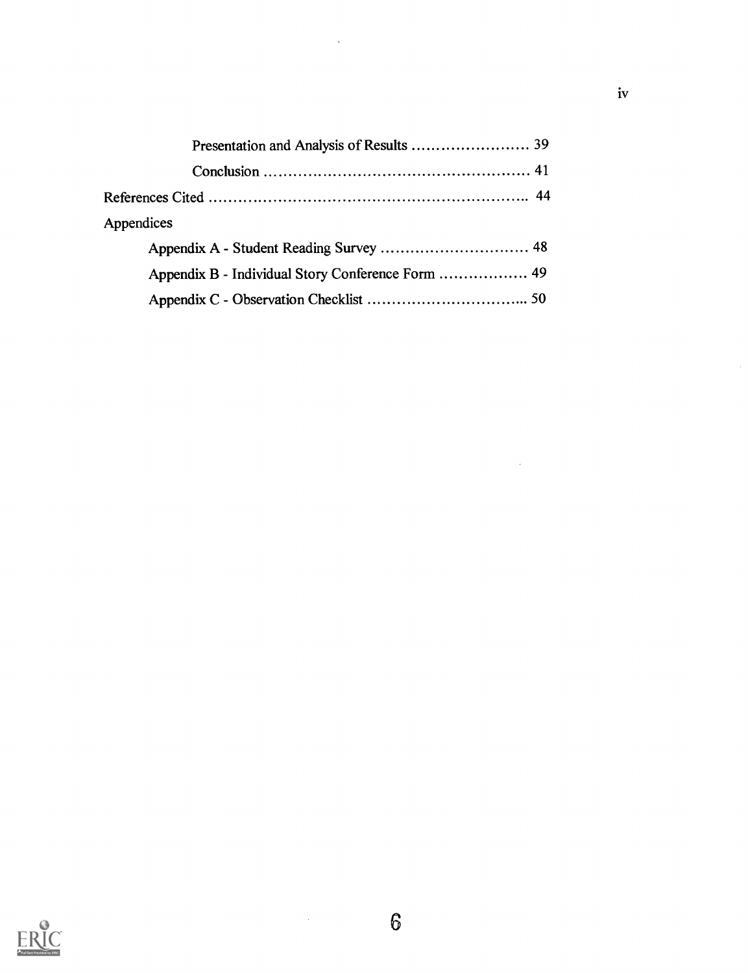| Appendices |  |
|------------|--|
|            |  |
|            |  |
|            |  |

 $\bar{\beta}$ 



 $\sim 10$ 

l,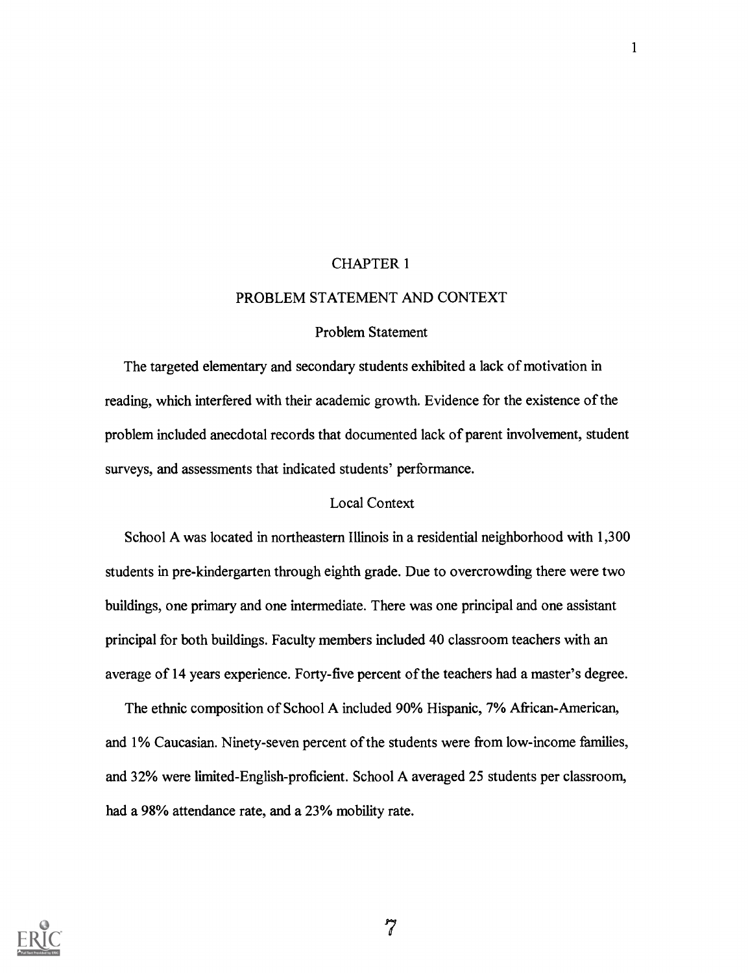#### CHAPTER 1

#### PROBLEM STATEMENT AND CONTEXT

#### Problem Statement

The targeted elementary and secondary students exhibited a lack of motivation in reading, which interfered with their academic growth. Evidence for the existence of the problem included anecdotal records that documented lack of parent involvement, student surveys, and assessments that indicated students' performance.

#### Local Context

School A was located in northeastern Illinois in a residential neighborhood with 1,300 students in pre-kindergarten through eighth grade. Due to overcrowding there were two buildings, one primary and one intermediate. There was one principal and one assistant principal for both buildings. Faculty members included 40 classroom teachers with an average of 14 years experience. Forty-five percent of the teachers had a master's degree.

The ethnic composition of School A included 90% Hispanic, 7% African-American, and 1% Caucasian. Ninety-seven percent of the students were from low-income families, and 32% were limited-English-proficient. School A averaged 25 students per classroom, had a 98% attendance rate, and a 23% mobility rate.



مبر<br>1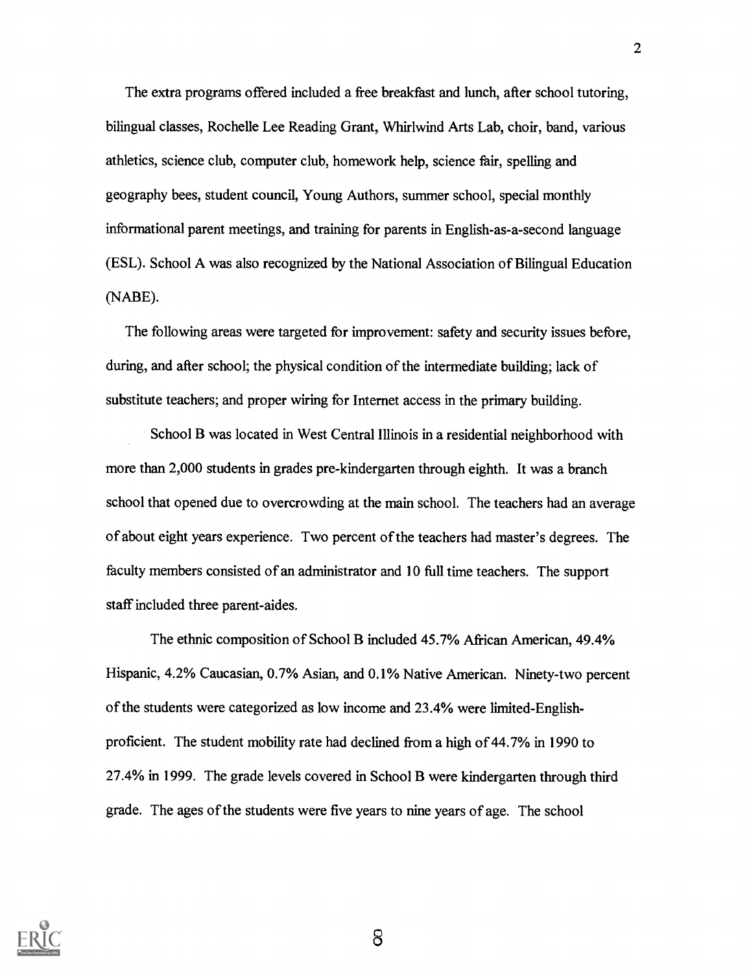The extra programs offered included a free breakfast and lunch, after school tutoring, bilingual classes, Rochelle Lee Reading Grant, Whirlwind Arts Lab, choir, band, various athletics, science club, computer club, homework help, science fair, spelling and geography bees, student council, Young Authors, summer school, special monthly informational parent meetings, and training for parents in English-as-a-second language (ESL). School A was also recognized by the National Association of Bilingual Education (NABE).

The following areas were targeted for improvement: safety and security issues before, during, and after school; the physical condition of the intermediate building; lack of substitute teachers; and proper wiring for Internet access in the primary building.

School B was located in West Central Illinois in a residential neighborhood with more than 2,000 students in grades pre-kindergarten through eighth. It was a branch school that opened due to overcrowding at the main school. The teachers had an average of about eight years experience. Two percent of the teachers had master's degrees. The faculty members consisted of an administrator and 10 full time teachers. The support staff included three parent-aides.

The ethnic composition of School B included 45.7% African American, 49.4% Hispanic, 4.2% Caucasian, 0.7% Asian, and 0.1% Native American. Ninety-two percent of the students were categorized as low income and 23.4% were limited-Englishproficient. The student mobility rate had declined from a high of 44.7% in 1990 to 27.4% in 1999. The grade levels covered in School B were kindergarten through third grade. The ages of the students were five years to nine years of age. The school

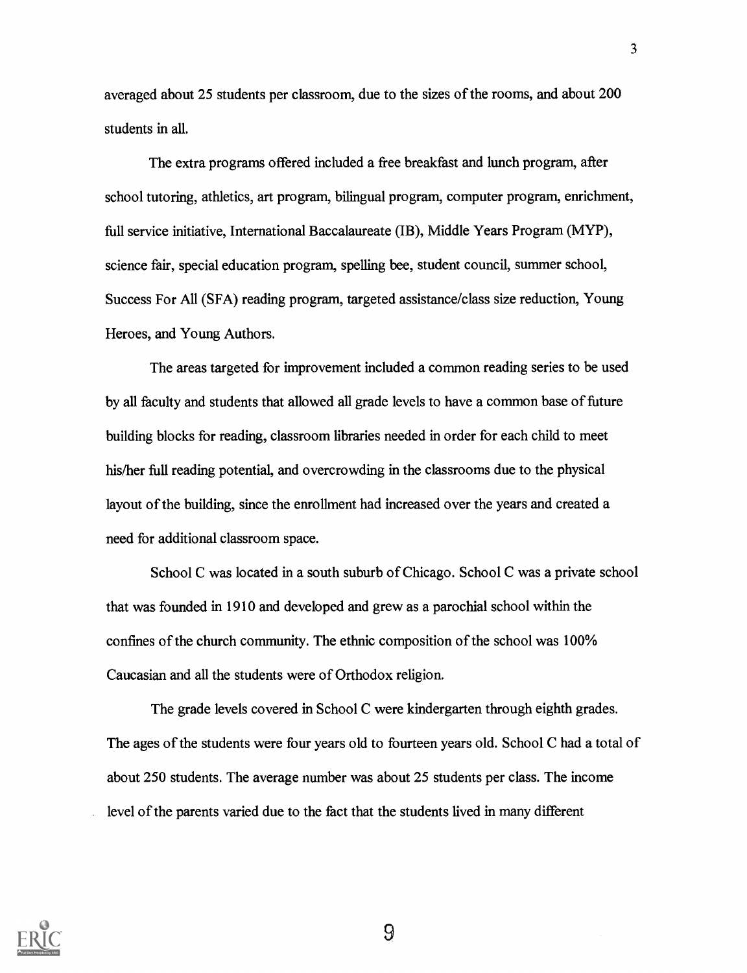averaged about 25 students per classroom, due to the sizes of the rooms, and about 200 students in all.

The extra programs offered included a free breakfast and lunch program, after school tutoring, athletics, art program, bilingual program, computer program, enrichment, full service initiative, International Baccalaureate (IB), Middle Years Program (MYP), science fair, special education program, spelling bee, student council, summer school, Success For All (SFA) reading program, targeted assistance/class size reduction, Young Heroes, and Young Authors.

The areas targeted for improvement included a common reading series to be used by all faculty and students that allowed all grade levels to have a common base of future building blocks for reading, classroom libraries needed in order for each child to meet his/her full reading potential, and overcrowding in the classrooms due to the physical layout of the building, since the enrollment had increased over the years and created a need for additional classroom space.

School C was located in a south suburb of Chicago. School C was a private school that was founded in 1910 and developed and grew as a parochial school within the confines of the church community. The ethnic composition of the school was 100% Caucasian and all the students were of Orthodox religion.

The grade levels covered in School C were kindergarten through eighth grades. The ages of the students were four years old to fourteen years old. School C had a total of about 250 students. The average number was about 25 students per class. The income level of the parents varied due to the fact that the students lived in many different

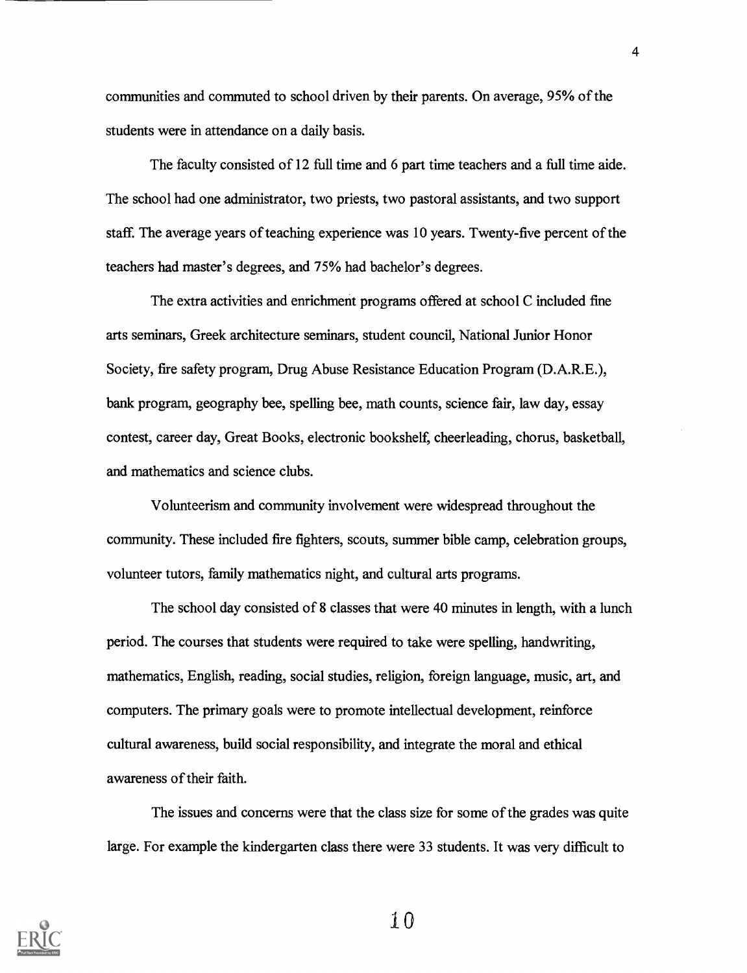communities and commuted to school driven by their parents. On average, 95% of the students were in attendance on a daily basis.

The faculty consisted of 12 full time and 6 part time teachers and a full time aide. The school had one administrator, two priests, two pastoral assistants, and two support staff. The average years of teaching experience was 10 years. Twenty-five percent of the teachers had master's degrees, and 75% had bachelor's degrees.

The extra activities and enrichment programs offered at school C included fine arts seminars, Greek architecture seminars, student council, National Junior Honor Society, fire safety program, Drug Abuse Resistance Education Program (D.A.R.E.), bank program, geography bee, spelling bee, math counts, science fair, law day, essay contest, career day, Great Books, electronic bookshelf, cheerleading, chorus, basketball, and mathematics and science clubs.

Volunteerism and community involvement were widespread throughout the community. These included fire fighters, scouts, summer bible camp, celebration groups, volunteer tutors, family mathematics night, and cultural arts programs.

The school day consisted of 8 classes that were 40 minutes in length, with a lunch period. The courses that students were required to take were spelling, handwriting, mathematics, English, reading, social studies, religion, foreign language, music, art, and computers. The primary goals were to promote intellectual development, reinforce cultural awareness, build social responsibility, and integrate the moral and ethical awareness of their faith.

The issues and concerns were that the class size for some of the grades was quite large. For example the kindergarten class there were 33 students. It was very difficult to

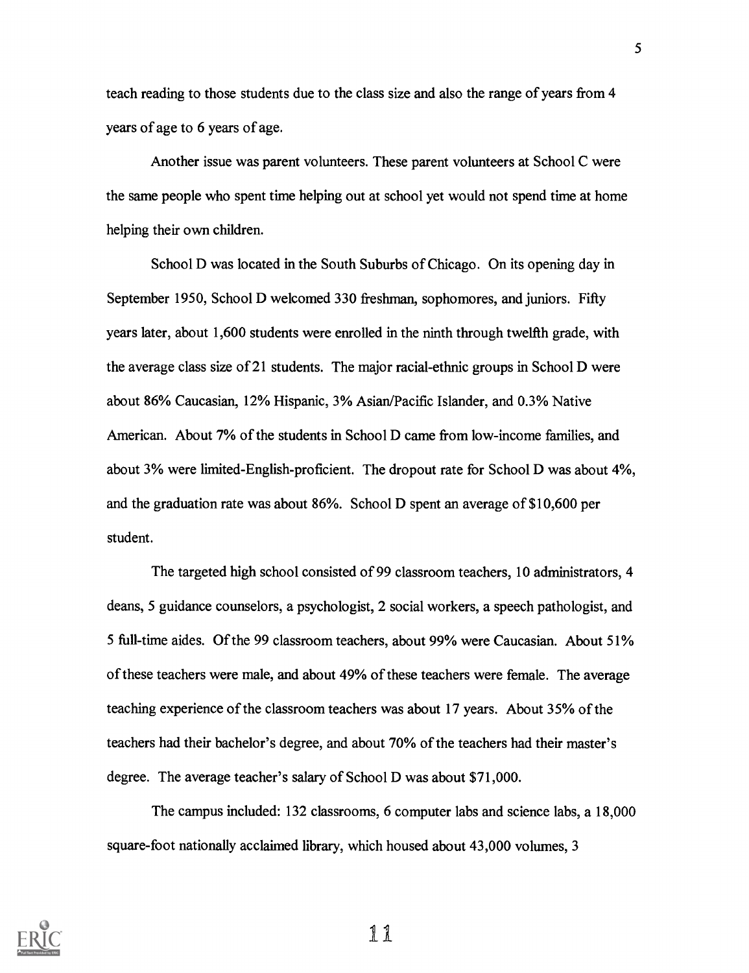teach reading to those students due to the class size and also the range of years from 4 years of age to 6 years of age.

Another issue was parent volunteers. These parent volunteers at School C were the same people who spent time helping out at school yet would not spend time at home helping their own children.

School D was located in the South Suburbs of Chicago. On its opening day in September 1950, School D welcomed 330 freshman, sophomores, and juniors. Fifty years later, about 1,600 students were enrolled in the ninth through twelfth grade, with the average class size of 21 students. The major racial-ethnic groups in School D were about 86% Caucasian, 12% Hispanic, 3% Asian/Pacific Islander, and 0.3% Native American. About 7% of the students in School D came from low-income families, and about 3% were limited-English-proficient. The dropout rate for School D was about 4%, and the graduation rate was about 86%. School D spent an average of \$10,600 per student.

The targeted high school consisted of 99 classroom teachers, 10 administrators, 4 deans, 5 guidance counselors, a psychologist, 2 social workers, a speech pathologist, and 5 full-time aides. Of the 99 classroom teachers, about 99% were Caucasian. About 51% of these teachers were male, and about 49% of these teachers were female. The average teaching experience of the classroom teachers was about 17 years. About 35% of the teachers had their bachelor's degree, and about 70% of the teachers had their master's degree. The average teacher's salary of School D was about \$71,000.

The campus included: 132 classrooms, 6 computer labs and science labs, a 18,000 square-foot nationally acclaimed library, which housed about 43,000 volumes, 3



ii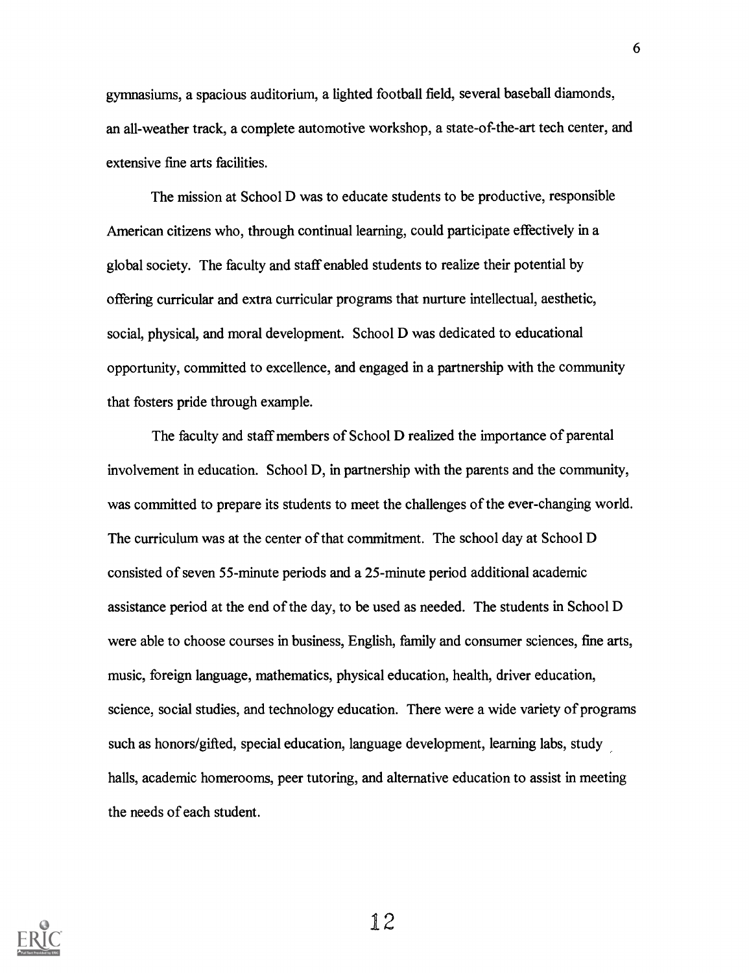gymnasiums, a spacious auditorium, a lighted football field, several baseball diamonds, an all-weather track, a complete automotive workshop, a state-of-the-art tech center, and extensive fine arts facilities.

The mission at School D was to educate students to be productive, responsible American citizens who, through continual learning, could participate effectively in a global society. The faculty and staff enabled students to realize their potential by offering curricular and extra curricular programs that nurture intellectual, aesthetic, social, physical, and moral development. School D was dedicated to educational opportunity, committed to excellence, and engaged in a partnership with the community that fosters pride through example.

The faculty and staff members of School D realized the importance of parental involvement in education. School D, in partnership with the parents and the community, was committed to prepare its students to meet the challenges of the ever-changing world. The curriculum was at the center of that commitment. The school day at School D consisted of seven 55-minute periods and a 25-minute period additional academic assistance period at the end of the day, to be used as needed. The students in School D were able to choose courses in business, English, family and consumer sciences, fine arts, music, foreign language, mathematics, physical education, health, driver education, science, social studies, and technology education. There were a wide variety of programs such as honors/gifted, special education, language development, learning labs, study halls, academic homerooms, peer tutoring, and alternative education to assist in meeting the needs of each student.

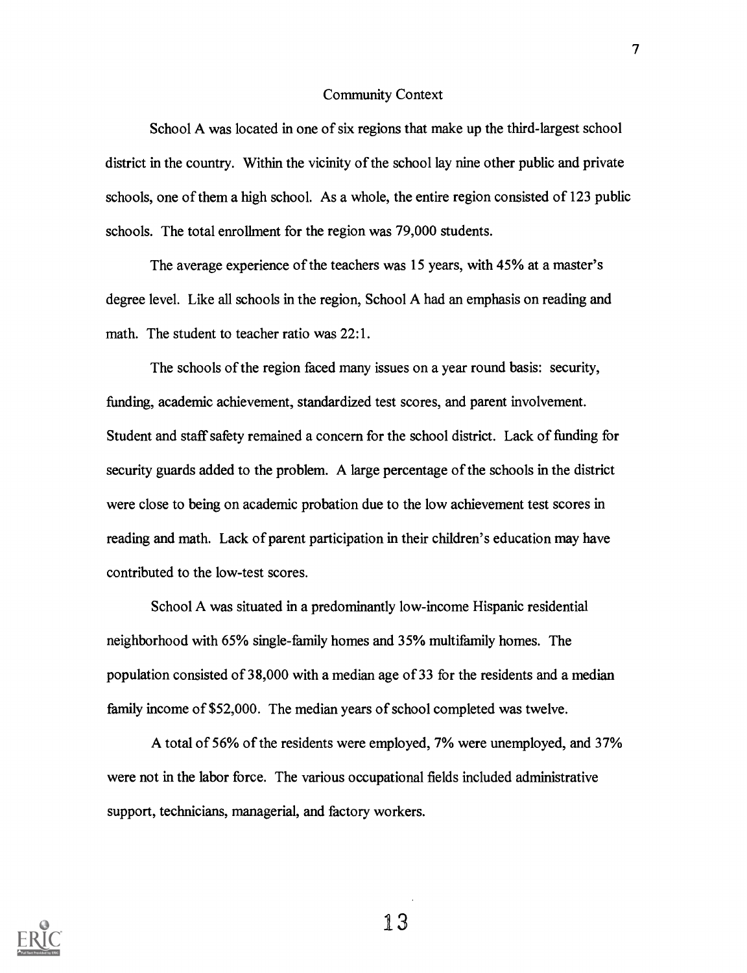#### Community Context

School A was located in one of six regions that make up the third-largest school district in the country. Within the vicinity of the school lay nine other public and private schools, one of them a high school. As a whole, the entire region consisted of 123 public schools. The total enrollment for the region was 79,000 students.

The average experience of the teachers was 15 years, with 45% at a master's degree level. Like all schools in the region, School A had an emphasis on reading and math. The student to teacher ratio was 22:1.

The schools of the region faced many issues on a year round basis: security, funding, academic achievement, standardized test scores, and parent involvement. Student and staff safety remained a concern for the school district. Lack of funding for security guards added to the problem. A large percentage of the schools in the district were close to being on academic probation due to the low achievement test scores in reading and math. Lack of parent participation in their children's education may have contributed to the low-test scores.

School A was situated in a predominantly low-income Hispanic residential neighborhood with 65% single-family homes and 35% multifamily homes. The population consisted of 38,000 with a median age of 33 for the residents and a median family income of \$52,000. The median years of school completed was twelve.

A total of 56% of the residents were employed, 7% were unemployed, and 37% were not in the labor force. The various occupational fields included administrative support, technicians, managerial, and factory workers.

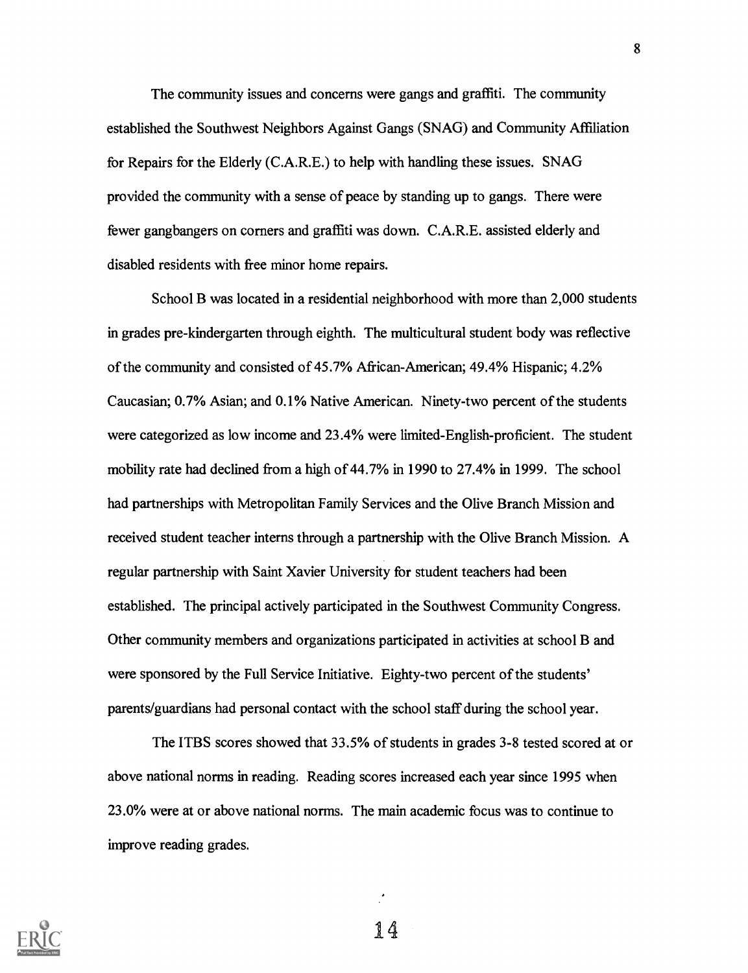The community issues and concerns were gangs and graffiti. The community established the Southwest Neighbors Against Gangs (SNAG) and Community Affiliation for Repairs for the Elderly (C.A.R.E.) to help with handling these issues. SNAG provided the community with a sense of peace by standing up to gangs. There were fewer gangbangers on corners and graffiti was down. C.A.R.E. assisted elderly and disabled residents with free minor home repairs.

School B was located in a residential neighborhood with more than 2,000 students in grades pre-kindergarten through eighth. The multicultural student body was reflective of the community and consisted of 45.7% African-American; 49.4% Hispanic; 4.2% Caucasian; 0.7% Asian; and 0.1% Native American. Ninety-two percent of the students were categorized as low income and 23.4% were limited-English-proficient. The student mobility rate had declined from a high of 44.7% in 1990 to 27.4% in 1999. The school had partnerships with Metropolitan Family Services and the Olive Branch Mission and received student teacher interns through a partnership with the Olive Branch Mission. A regular partnership with Saint Xavier University for student teachers had been established. The principal actively participated in the Southwest Community Congress. Other community members and organizations participated in activities at school B and were sponsored by the Full Service Initiative. Eighty-two percent of the students' parents/guardians had personal contact with the school staff during the school year.

The ITBS scores showed that 33.5% of students in grades 3-8 tested scored at or above national norms in reading. Reading scores increased each year since 1995 when 23.0% were at or above national norms. The main academic focus was to continue to improve reading grades.

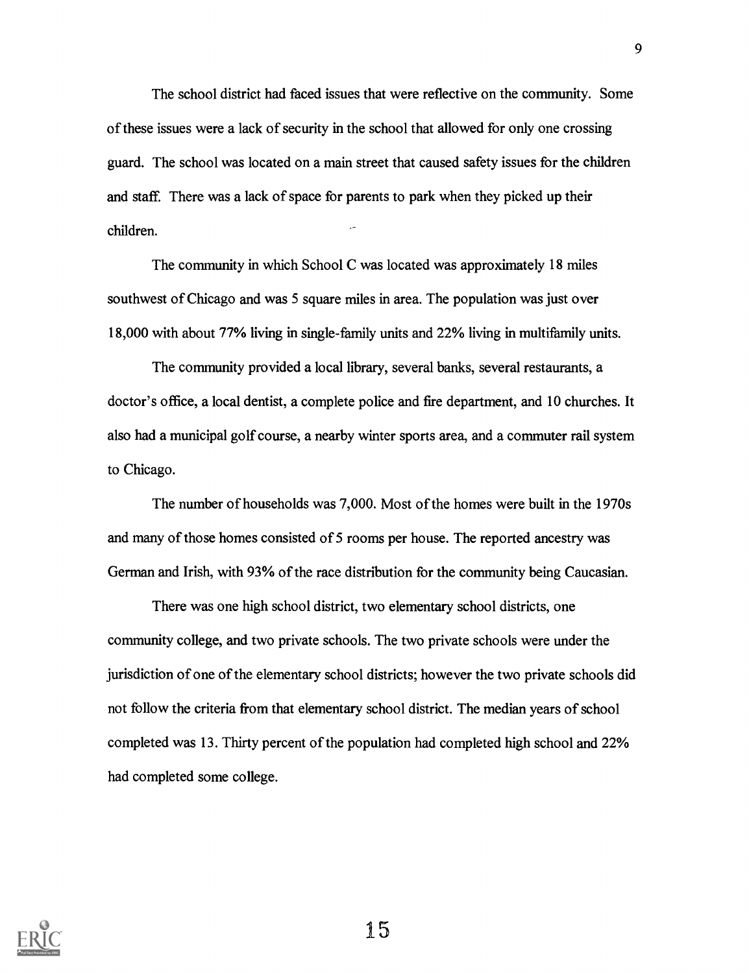The school district had faced issues that were reflective on the community. Some of these issues were a lack of security in the school that allowed for only one crossing guard. The school was located on a main street that caused safety issues for the children and staff. There was a lack of space for parents to park when they picked up their children.

The community in which School C was located was approximately 18 miles southwest of Chicago and was 5 square miles in area. The population was just over 18,000 with about 77% living in single-family units and 22% living in multifamily units.

The community provided a local library, several banks, several restaurants, a doctor's office, a local dentist, a complete police and fire department, and 10 churches. It also had a municipal golf course, a nearby winter sports area, and a commuter rail system to Chicago.

The number of households was 7,000. Most of the homes were built in the 1970s and many of those homes consisted of 5 rooms per house. The reported ancestry was German and Irish, with 93% of the race distribution for the community being Caucasian.

There was one high school district, two elementary school districts, one community college, and two private schools. The two private schools were under the jurisdiction of one of the elementary school districts; however the two private schools did not follow the criteria from that elementary school district. The median years of school completed was 13. Thirty percent of the population had completed high school and 22% had completed some college.

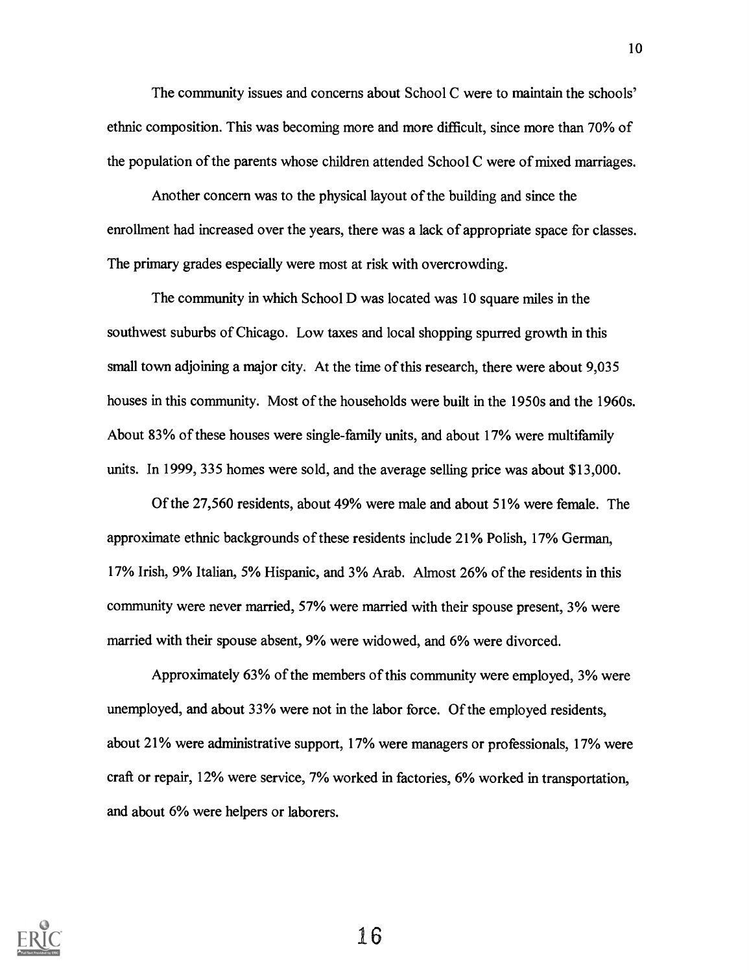The community issues and concerns about School C were to maintain the schools' ethnic composition. This was becoming more and more difficult, since more than 70% of the population of the parents whose children attended School C were of mixed marriages.

Another concern was to the physical layout of the building and since the enrollment had increased over the years, there was a lack of appropriate space for classes. The primary grades especially were most at risk with overcrowding.

The community in which School D was located was 10 square miles in the southwest suburbs of Chicago. Low taxes and local shopping spurred growth in this small town adjoining a major city. At the time of this research, there were about 9,035 houses in this community. Most of the households were built in the 1950s and the 1960s. About 83% of these houses were single-family units, and about 17% were multifamily units. In 1999, 335 homes were sold, and the average selling price was about \$13,000.

Of the 27,560 residents, about 49% were male and about 51% were female. The approximate ethnic backgrounds of these residents include 21% Polish, 17% German, 17% Irish, 9% Italian, 5% Hispanic, and 3% Arab. Almost 26% of the residents in this community were never married, 57% were married with their spouse present, 3% were married with their spouse absent, 9% were widowed, and 6% were divorced.

Approximately 63% of the members of this community were employed, 3% were unemployed, and about 33% were not in the labor force. Of the employed residents, about 21% were administrative support, 17% were managers or professionals, 17% were craft or repair, 12% were service, 7% worked in factories, 6% worked in transportation, and about 6% were helpers or laborers.

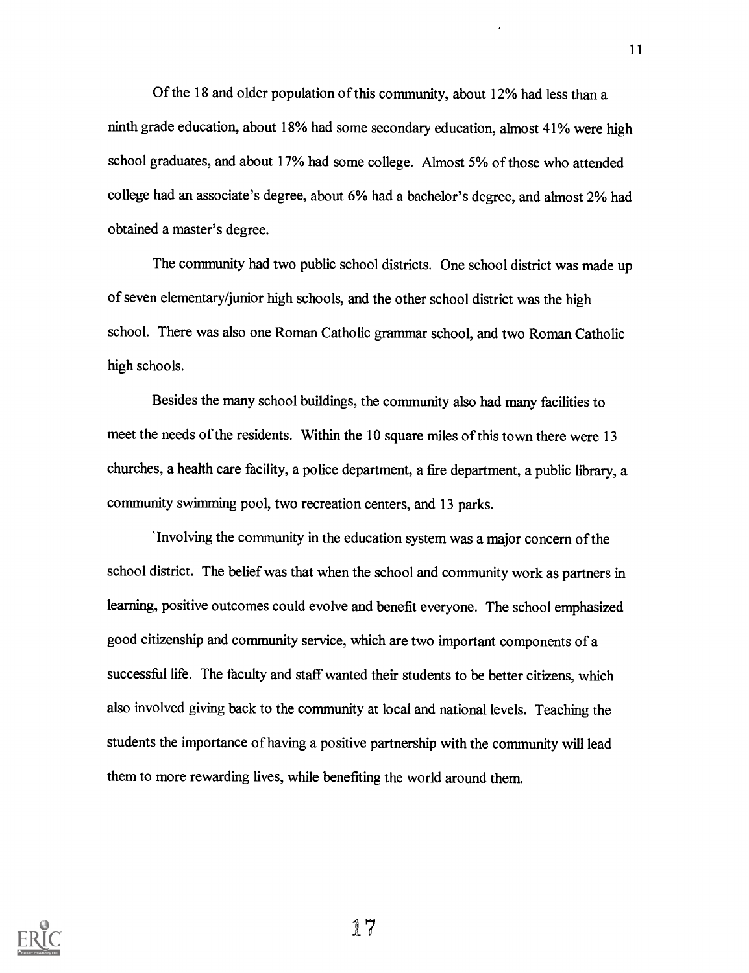Of the 18 and older population of this community, about 12% had less than a ninth grade education, about 18% had some secondary education, almost 41% were high school graduates, and about 17% had some college. Almost 5% of those who attended college had an associate's degree, about 6% had a bachelor's degree, and almost 2% had obtained a master's degree.

The community had two public school districts. One school district was made up of seven elementary/junior high schools, and the other school district was the high school. There was also one Roman Catholic grammar school, and two Roman Catholic high schools.

Besides the many school buildings, the community also had many facilities to meet the needs of the residents. Within the 10 square miles of this town there were 13 churches, a health care facility, a police department, a fire department, a public library, a community swimming pool, two recreation centers, and 13 parks.

'Involving the community in the education system was a major concern of the school district. The belief was that when the school and community work as partners in learning, positive outcomes could evolve and benefit everyone. The school emphasized good citizenship and community service, which are two important components ofa successful life. The faculty and staff wanted their students to be better citizens, which also involved giving back to the community at local and national levels. Teaching the students the importance of having a positive partnership with the community will lead them to more rewarding lives, while benefiting the world around them.

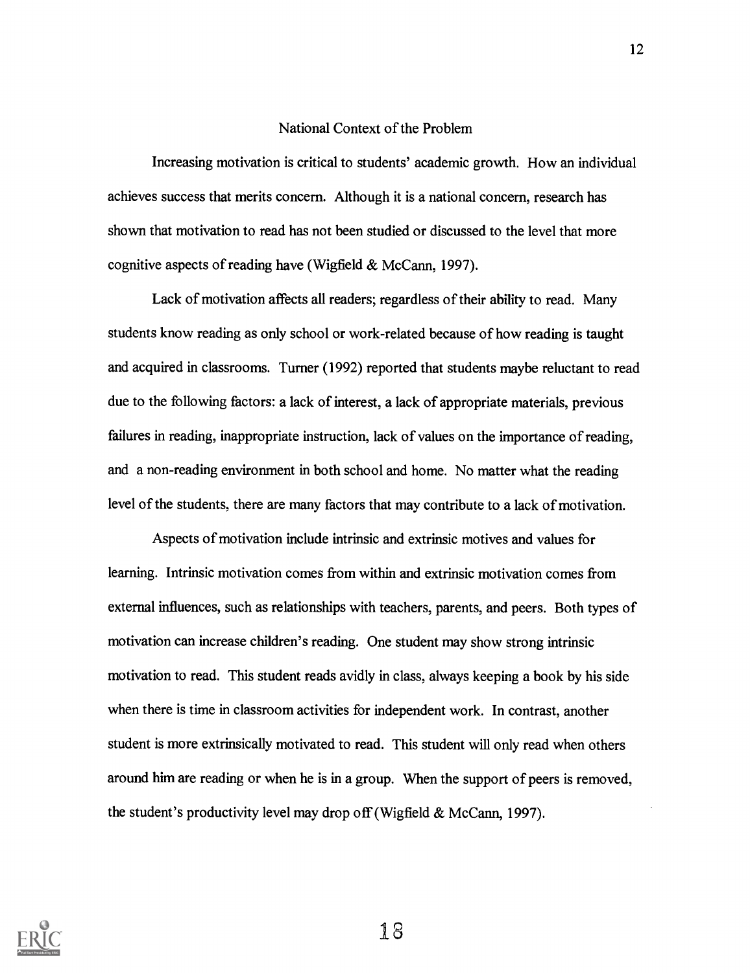#### National Context of the Problem

Increasing motivation is critical to students' academic growth. How an individual achieves success that merits concern. Although it is a national concern, research has shown that motivation to read has not been studied or discussed to the level that more cognitive aspects of reading have (Wigfield & McCann, 1997).

Lack of motivation affects all readers; regardless of their ability to read. Many students know reading as only school or work-related because of how reading is taught and acquired in classrooms. Turner (1992) reported that students maybe reluctant to read due to the following factors: a lack of interest, a lack of appropriate materials, previous failures in reading, inappropriate instruction, lack of values on the importance of reading, and a non-reading environment in both school and home. No matter what the reading level of the students, there are many factors that may contribute to a lack of motivation.

Aspects of motivation include intrinsic and extrinsic motives and values for learning. Intrinsic motivation comes from within and extrinsic motivation comes from external influences, such as relationships with teachers, parents, and peers. Both types of motivation can increase children's reading. One student may show strong intrinsic motivation to read. This student reads avidly in class, always keeping a book by his side when there is time in classroom activities for independent work. In contrast, another student is more extrinsically motivated to read. This student will only read when others around him are reading or when he is in a group. When the support of peers is removed, the student's productivity level may drop off (Wigfield & McCann, 1997).

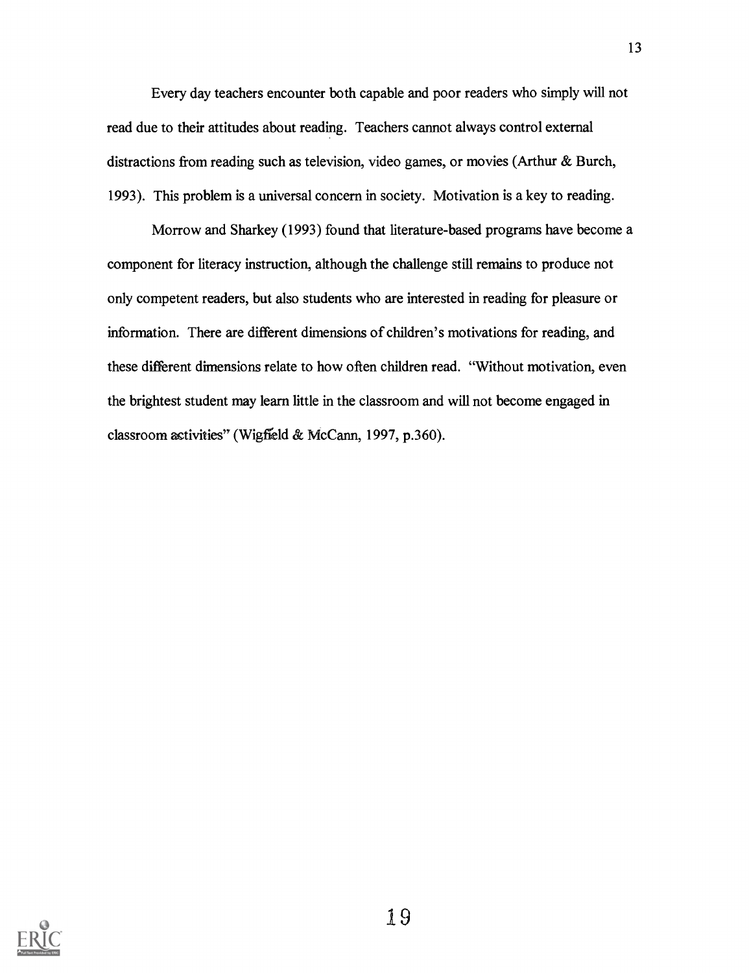Every day teachers encounter both capable and poor readers who simply will not read due to their attitudes about reading. Teachers cannot always control external distractions from reading such as television, video games, or movies (Arthur & Burch, 1993). This problem is a universal concern in society. Motivation is a key to reading.

Morrow and Sharkey (1993) found that literature-based programs have become a component for literacy instruction, although the challenge still remains to produce not only competent readers, but a1so students who are interested in reading for pleasure or information. There are different dimensions of children's motivations for reading, and these different dimensions relate to how often children read. "Without motivation, even the brightest student may learn little in the classroom and will not become engaged in classroom astivities" (Wigfield & McCann, 1997, p.360).

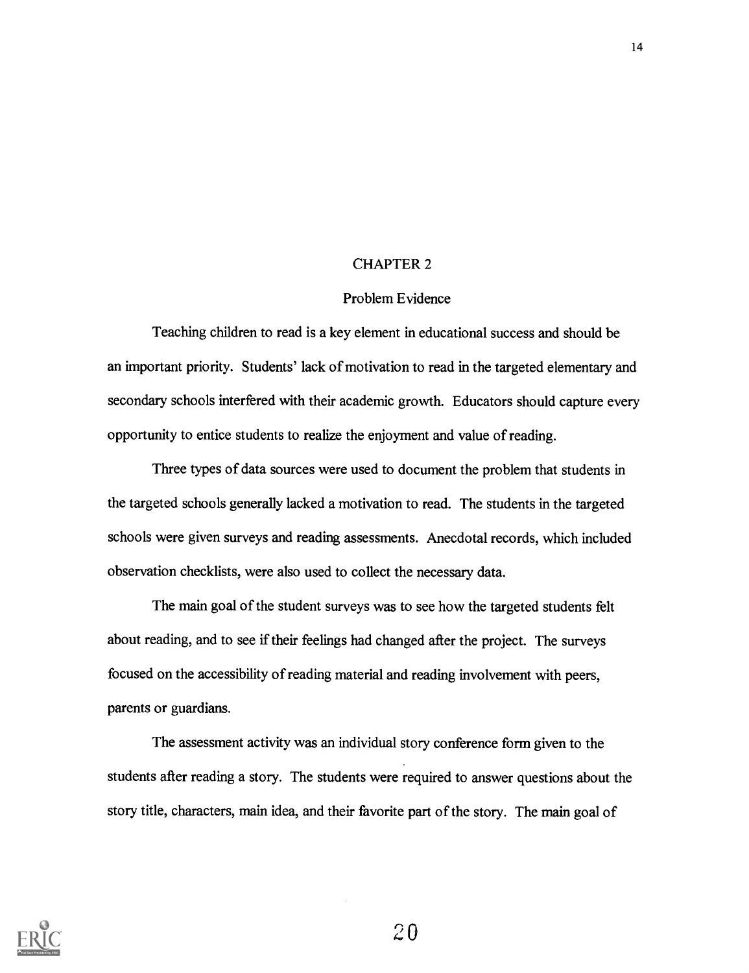#### CHAPTER 2

#### Problem Evidence

Teaching children to read is a key element in educational success and should be an important priority. Students' lack of motivation to read in the targeted elementary and secondary schools interfered with their academic growth. Educators should capture every opportunity to entice students to realize the enjoyment and value of reading.

Three types of data sources were used to document the problem that students in the targeted schools generally lacked a motivation to read. The students in the targeted schools were given surveys and reading assessments. Anecdotal records, which included observation checklists, were also used to collect the necessary data.

The main goal of the student surveys was to see how the targeted students felt about reading, and to see if their feelings had changed after the project. The surveys focused on the accessibility of reading material and reading involvement with peers, parents or guardians.

The assessment activity was an individual story conference form given to the students after reading a story. The students were required to answer questions about the story title, characters, main idea, and their favorite part of the story. The main goal of

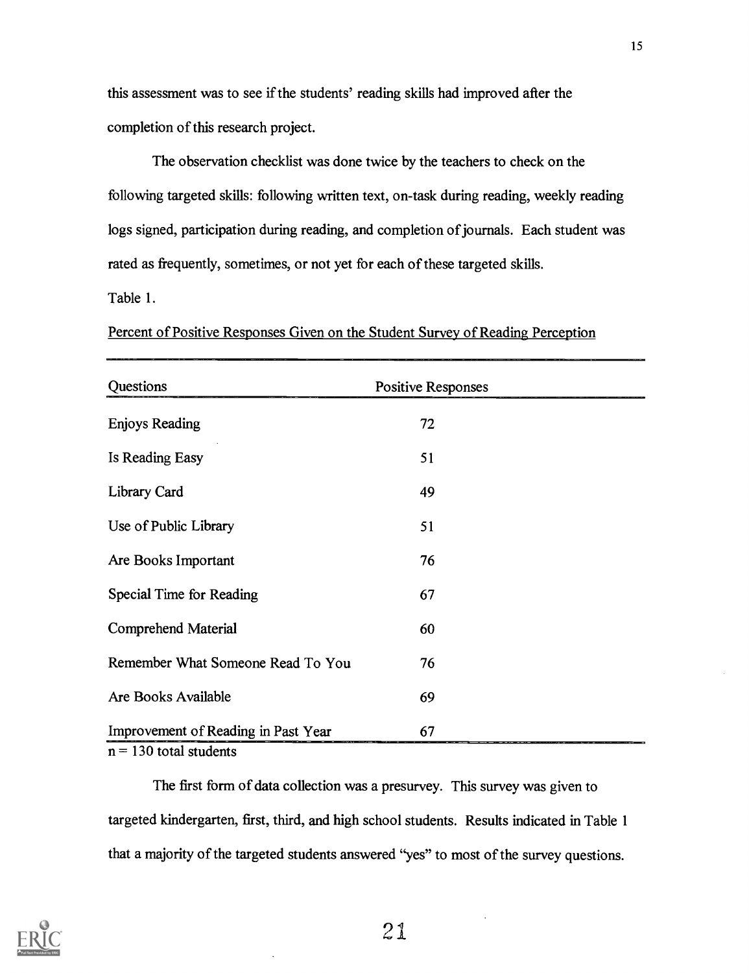this assessment was to see if the students' reading skills had improved after the completion of this research project.

The observation checklist was done twice by the teachers to check on the following targeted skills: following written text, on-task during reading, weekly reading logs signed, participation during reading, and completion of journals. Each student was rated as frequently, sometimes, or not yet for each of these targeted skills.

Table 1.

| Questions                           | <b>Positive Responses</b> |  |
|-------------------------------------|---------------------------|--|
| <b>Enjoys Reading</b>               | 72                        |  |
| Is Reading Easy                     | 51                        |  |
| Library Card                        | 49                        |  |
| Use of Public Library               | 51                        |  |
| Are Books Important                 | 76                        |  |
| Special Time for Reading            | 67                        |  |
| Comprehend Material                 | 60                        |  |
| Remember What Someone Read To You   | 76                        |  |
| Are Books Available                 | 69                        |  |
| Improvement of Reading in Past Year | 67                        |  |

Percent of Positive Responses Given on the Student Survey of Reading Perception

 $n = 130$  total students

The first form of data collection was a presurvey. This survey was given to targeted kindergarten, first, third, and high school students. Results indicated in Table 1 that a majority of the targeted students answered "yes" to most of the survey questions.

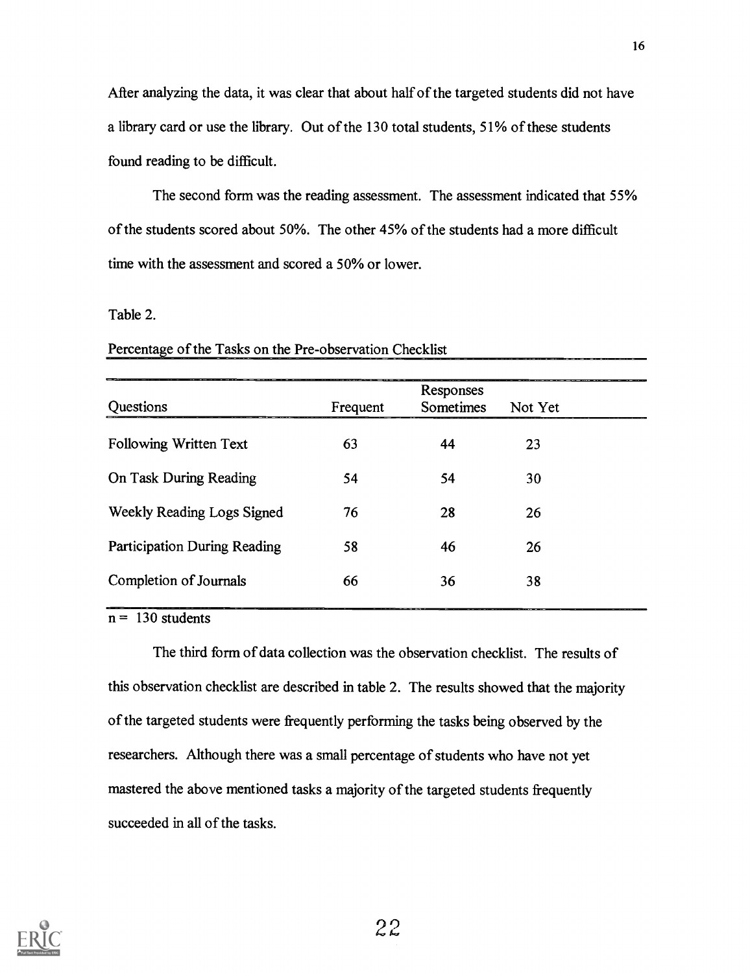After analyzing the data, it was clear that about half of the targeted students did not have a library card or use the library. Out of the 130 total students, 51% of these students found reading to be difficult.

The second form was the reading assessment. The assessment indicated that 55% of the students scored about 50%. The other 45% of the students had a more difficult time with the assessment and scored a 50% or lower.

#### Table 2.

|                                     | Responses |           |         |
|-------------------------------------|-----------|-----------|---------|
| Questions                           | Frequent  | Sometimes | Not Yet |
| Following Written Text              | 63        | 44        | 23      |
| On Task During Reading              | 54        | 54        | 30      |
| Weekly Reading Logs Signed          | 76        | 28        | 26      |
| <b>Participation During Reading</b> | 58        | 46        | 26      |
| Completion of Journals              | 66        | 36        | 38      |
|                                     |           |           |         |

Percentage of the Tasks on the Pre-observation Checklist

 $n = 130$  students

The third form of data collection was the observation checklist. The results of this observation checklist are described in table 2. The results showed that the majority of the targeted students were frequently performing the tasks being observed by the researchers. Although there was a small percentage of students who have not yet mastered the above mentioned tasks a majority of the targeted students frequently succeeded in all of the tasks.

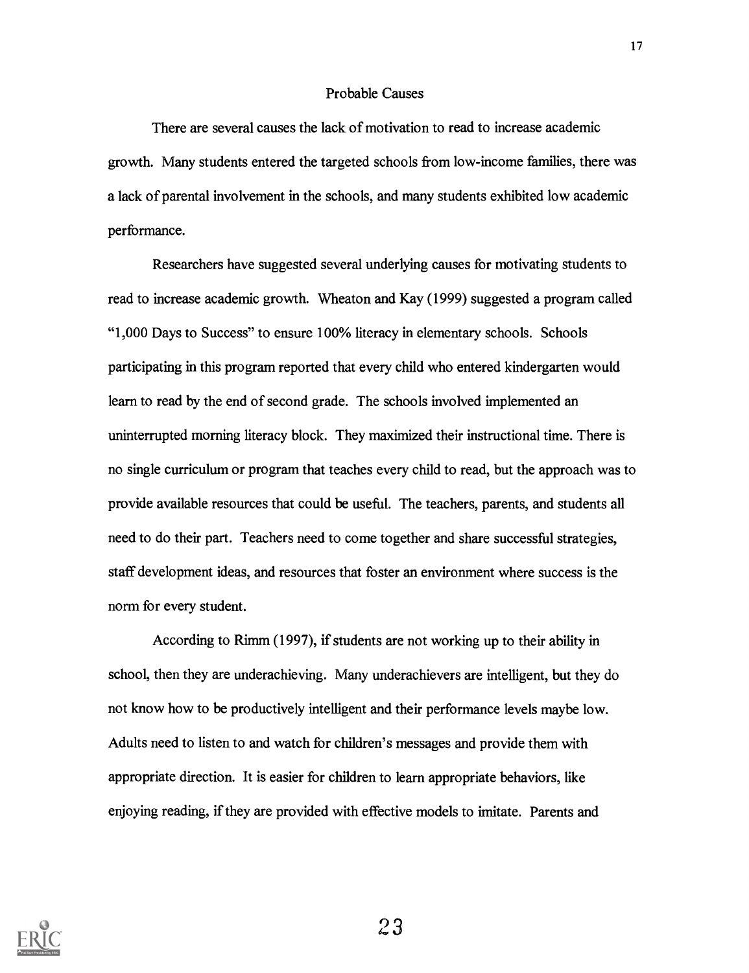#### Probable Causes

There are several causes the lack of motivation to read to increase academic growth. Many students entered the targeted schools from low-income families, there was a lack of parental involvement in the schools, and many students exhibited low academic performance.

Researchers have suggested several underlying causes for motivating students to read to increase academic growth. Wheaton and Kay (1999) suggested a program called "1,000 Days to Success" to ensure 100% literacy in elementary schools. Schools participating in this program reported that every child who entered kindergarten would learn to read by the end of second grade. The schools involved implemented an uninterrupted morning literacy block. They maximized their instructional time. There is no single curriculum or program that teaches every child to read, but the approach was to provide available resources that could be useful. The teachers, parents, and students all need to do their part. Teachers need to come together and share successful strategies, staff development ideas, and resources that foster an environment where success is the norm for every student.

According to Rimm (1997), if students are not working up to their ability in school, then they are underachieving. Many underachievers are intelligent, but they do not know how to be productively intelligent and their performance levels maybe low. Adults need to listen to and watch for children's messages and provide them with appropriate direction. It is easier for children to learn appropriate behaviors, like enjoying reading, if they are provided with effective models to imitate. Parents and

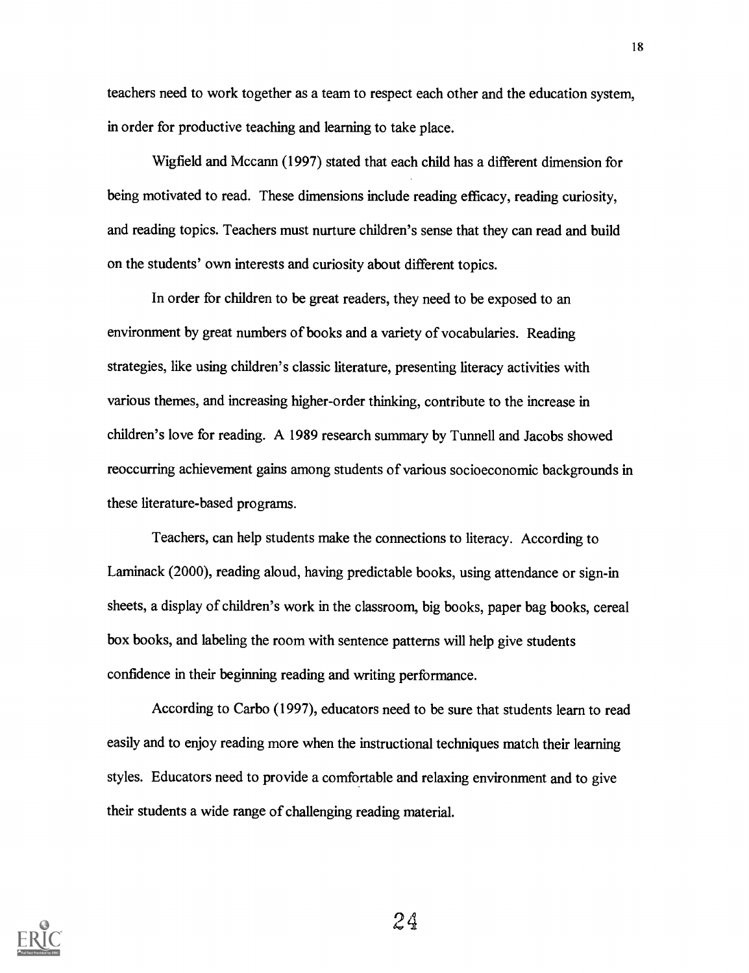teachers need to work together as a team to respect each other and the education system, in order for productive teaching and learning to take place.

Wigfield and Mccann (1997) stated that each child has a different dimension for being motivated to read. These dimensions include reading efficacy, reading curiosity, and reading topics. Teachers must nurture children's sense that they can read and build on the students' own interests and curiosity about different topics.

In order for children to be great readers, they need to be exposed to an environment by great numbers of books and a variety of vocabularies. Reading strategies, like using children's classic literature, presenting literacy activities with various themes, and increasing higher-order thinking, contribute to the increase in children's love for reading. A 1989 research summary by Tunnell and Jacobs showed reoccurring achievement gains among students of various socioeconomic backgrounds in these literature-based programs.

Teachers, can help students make the connections to literacy. According to Laminack (2000), reading aloud, having predictable books, using attendance or sign-in sheets, a display of children's work in the classroom, big books, paper bag books, cereal box books, and labeling the room with sentence patterns will help give students confidence in their beginning reading and writing performance.

According to Carbo (1997), educators need to be sure that students learn to read easily and to enjoy reading more when the instructional techniques match their learning styles. Educators need to provide a comfortable and relaxing environment and to give their students a wide range of challenging reading material.

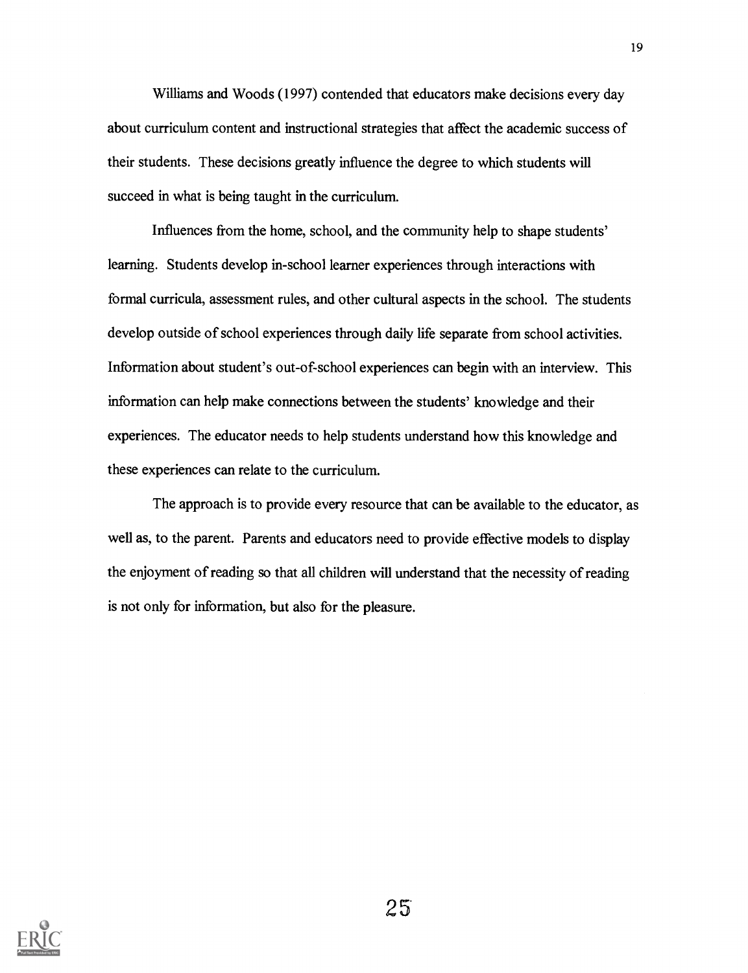Williams and Woods (1997) contended that educators make decisions every day about curriculum content and instructional strategies that affect the academic success of their students. These decisions greatly influence the degree to which students will succeed in what is being taught in the curriculum.

Influences from the home, school, and the community help to shape students' learning. Students develop in-school learner experiences through interactions with formal curricula, assessment rules, and other cultural aspects in the school. The students develop outside of school experiences through daily life separate from school activities. Information about student's out-of-school experiences can begin with an interview. This information can help make connections between the students' knowledge and their experiences. The educator needs to help students understand how this knowledge and these experiences can relate to the curriculum.

The approach is to provide every resource that can be available to the educator, as well as, to the parent. Parents and educators need to provide effective models to display the enjoyment of reading so that all children will understand that the necessity of reading is not only for information, but also for the pleasure.

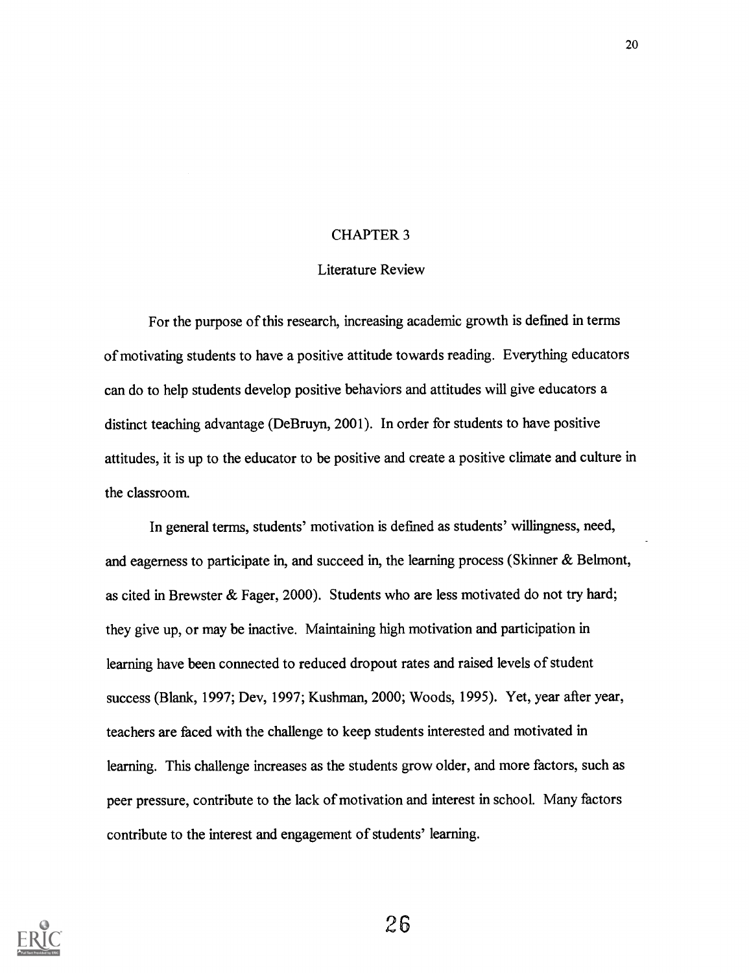#### CHAPTER 3

#### Literature Review

For the purpose of this research, increasing academic growth is defmed in terms of motivating students to have a positive attitude towards reading. Everything educators can do to help students develop positive behaviors and attitudes will give educators a distinct teaching advantage (DeBruyn, 2001). In order for students to have positive attitudes, it is up to the educator to be positive and create a positive climate and culture in the classroom.

In general terms, students' motivation is defined as students' willingness, need, and eagerness to participate in, and succeed in, the learning process (Skinner & Belmont, as cited in Brewster & Fager, 2000). Students who are less motivated do not try hard; they give up, or may be inactive. Maintaining high motivation and participation in learning have been connected to reduced dropout rates and raised levels of student success (Blank, 1997; Dev, 1997; Kushman, 2000; Woods, 1995). Yet, year after year, teachers are faced with the challenge to keep students interested and motivated in learning. This challenge increases as the students grow older, and more factors, such as peer pressure, contribute to the lack of motivation and interest in school. Many factors contribute to the interest and engagement of students' learning.

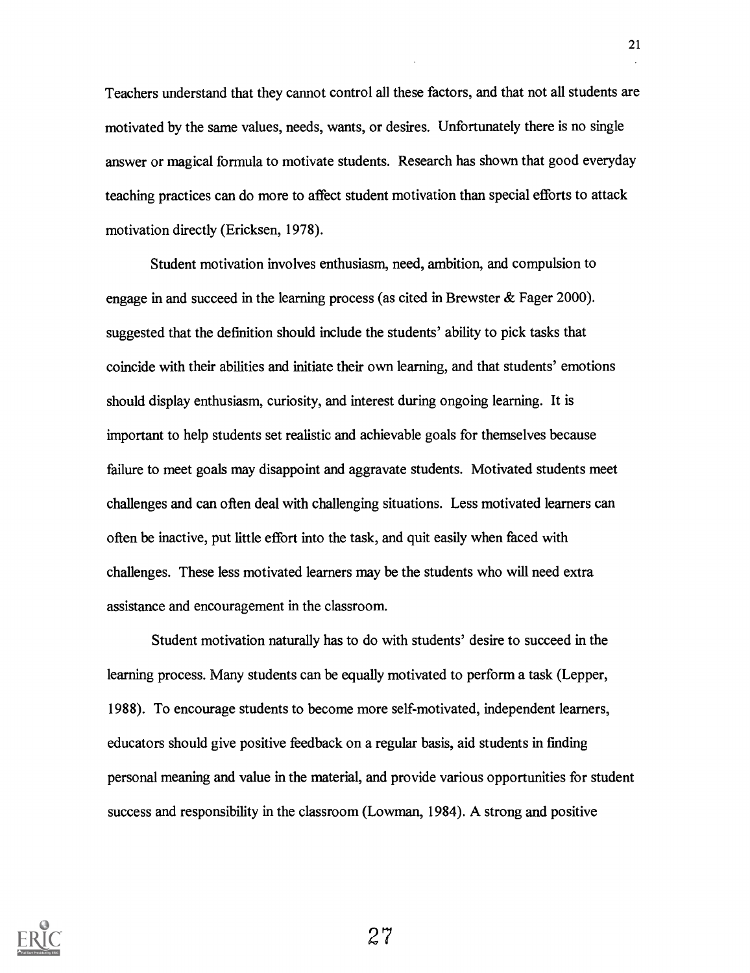Teachers understand that they cannot control all these factors, and that not all students are motivated by the same values, needs, wants, or desires. Unfortunately there is no single answer or magical formula to motivate students. Research has shown that good everyday teaching practices can do more to affect student motivation than special efforts to attack motivation directly (Ericksen, 1978).

Student motivation involves enthusiasm, need, ambition, and compulsion to engage in and succeed in the learning process (as cited in Brewster  $\&$  Fager 2000). suggested that the definition should include the students' ability to pick tasks that coincide with their abilities and initiate their own learning, and that students' emotions should display enthusiasm, curiosity, and interest during ongoing learning. It is important to help students set realistic and achievable goals for themselves because failure to meet goals may disappoint and aggravate students. Motivated students meet challenges and can often deal with challenging situations. Less motivated learners can often be inactive, put little effort into the task, and quit easily when faced with challenges. These less motivated learners may be the students who will need extra assistance and encouragement in the classroom.

Student motivation naturally has to do with students' desire to succeed in the learning process. Many students can be equally motivated to perform a task (Lepper, 1988). To encourage students to become more self-motivated, independent learners, educators should give positive feedback on a regular basis, aid students in finding personal meaning and value in the material, and provide various opportunities for student success and responsibility in the classroom (Lowman, 1984). A strong and positive

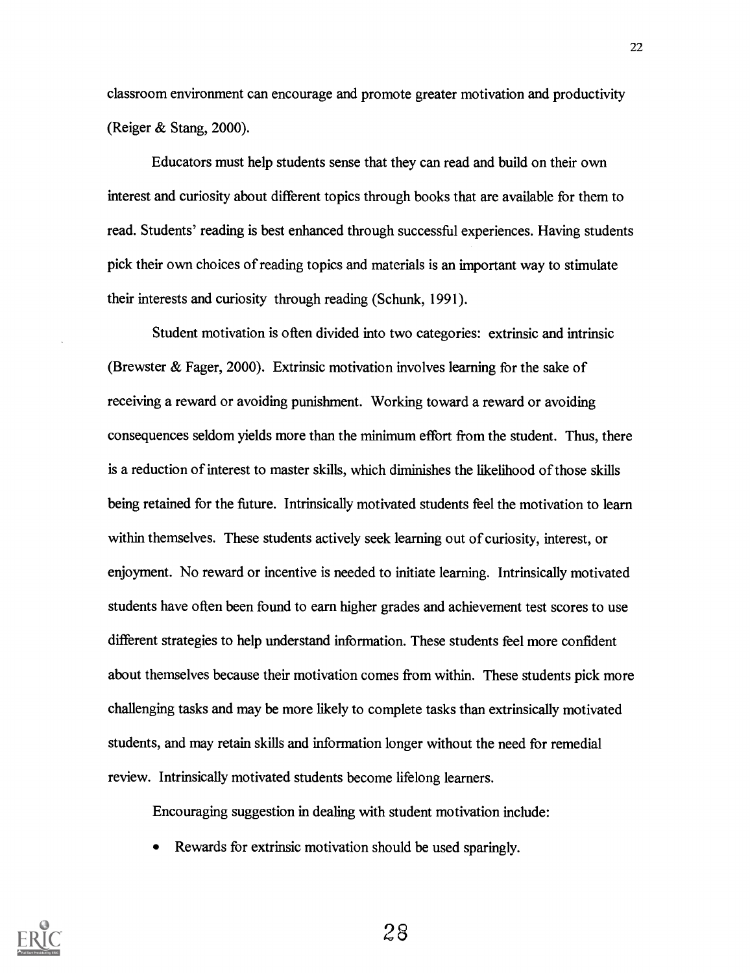classroom environment can encourage and promote greater motivation and productivity (Reiger & Stang, 2000).

Educators must help students sense that they can read and build on their own interest and curiosity about different topics through books that are available for them to read. Students' reading is best enhanced through successful experiences. Having students pick their own choices of reading topics and materials is an important way to stimulate their interests and curiosity through reading (Schunk, 1991).

Student motivation is often divided into two categories: extrinsic and intrinsic (Brewster & Fager, 2000). Extrinsic motivation involves learning for the sake of receiving a reward or avoiding punishment. Working toward a reward or avoiding consequences seldom yields more than the minimum effort from the student. Thus, there is a reduction of interest to master skills, which diminishes the likelihood of those skills being retained for the future. Intrinsically motivated students feel the motivation to learn within themselves. These students actively seek learning out of curiosity, interest, or enjoyment. No reward or incentive is needed to initiate learning. Intrinsically motivated students have often been found to earn higher grades and achievement test scores to use different strategies to help understand information. These students feel more confident about themselves because their motivation comes from within. These students pick more challenging tasks and may be more likely to complete tasks than extrinsically motivated students, and may retain skills and information longer without the need for remedial review. Intrinsically motivated students become lifelong learners.

Encouraging suggestion in dealing with student motivation include:

Rewards for extrinsic motivation should be used sparingly.

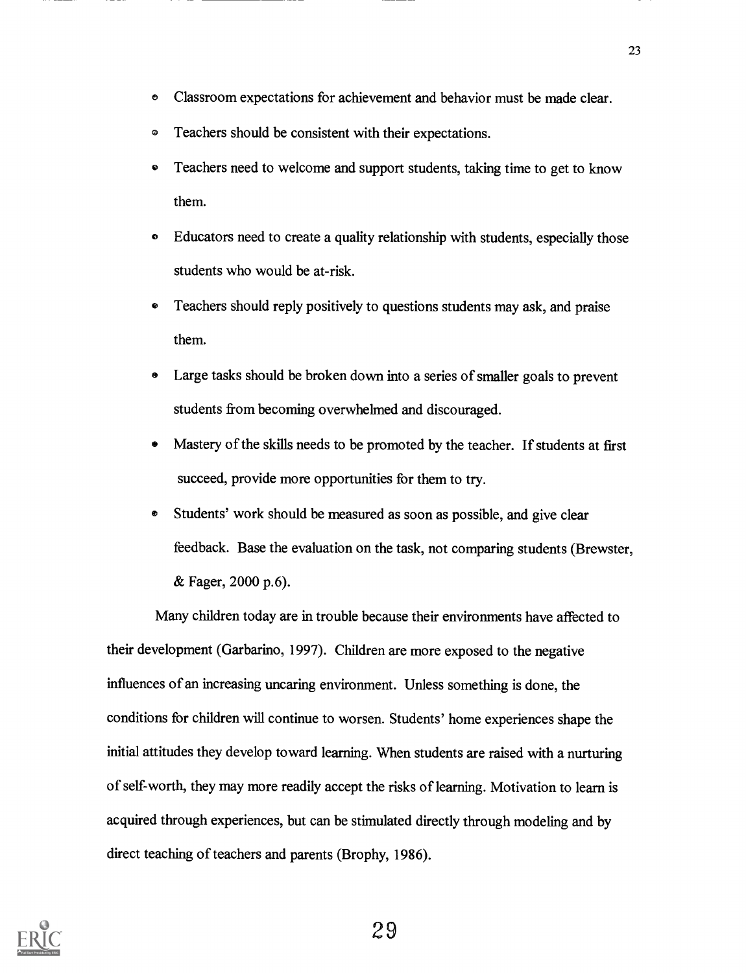- Classroom expectations for achievement and behavior must be made clear. O
- Teachers should be consistent with their expectations. Ø
- Teachers need to welcome and support students, taking time to get to know them.
- a Educators need to create a quality relationship with students, especially those students who would be at-risk.
- Teachers should reply positively to questions students may ask, and praise them.
- Large tasks should be broken down into a series of smaller goals to prevent students from becoming overwhelmed and discouraged.
- Mastery of the skills needs to be promoted by the teacher. If students at first succeed, provide more opportunities for them to try.
- ø Students' work should be measured as soon as possible, and give clear feedback. Base the evaluation on the task, not comparing students (Brewster, & Fager, 2000 p.6).

Many children today are in trouble because their environments have affected to their development (Garbarino, 1997). Children are more exposed to the negative influences of an increasing uncaring environment. Unless something is done, the conditions for children will continue to worsen. Students' home experiences shape the initial attitudes they develop toward learning. When students are raised with a nurturing of self-worth, they may more readily accept the risks of learning. Motivation to learn is acquired through experiences, but can be stimulated directly through modeling and by direct teaching of teachers and parents (Brophy, 1986).

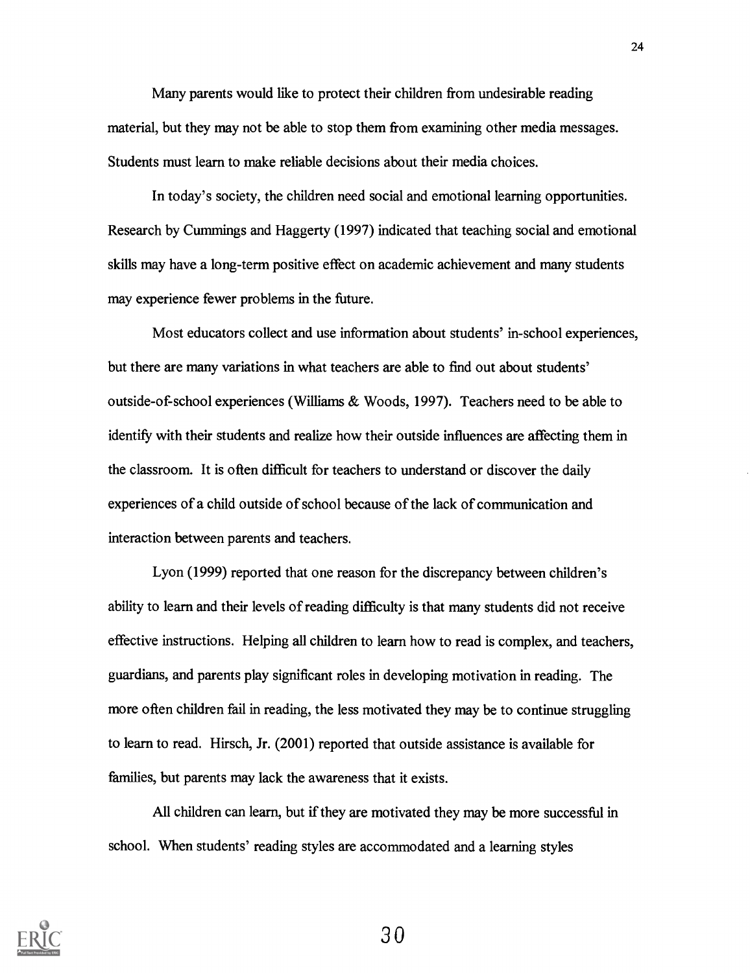Many parents would like to protect their children from undesirable reading material, but they may not be able to stop them from examining other media messages. Students must learn to make reliable decisions about their media choices.

In today's society, the children need social and emotional learning opportunities. Research by Cummings and Haggerty (1997) indicated that teaching social and emotional skills may have a long-term positive effect on academic achievement and many students may experience fewer problems in the future.

Most educators collect and use information about students' in-school experiences, but there are many variations in what teachers are able to find out about students' outside-of-school experiences (Williams & Woods, 1997). Teachers need to be able to identify with their students and realize how their outside influences are affecting them in the classroom. It is often difficult for teachers to understand or discover the daily experiences of a child outside of school because of the lack of communication and interaction between parents and teachers.

Lyon (1999) reported that one reason for the discrepancy between children's ability to learn and their levels of reading difficulty is that many students did not receive effective instructions. Helping all children to learn how to read is complex, and teachers, guardians, and parents play significant roles in developing motivation in reading. The more often children fail in reading, the less motivated they may be to continue struggling to learn to read. Hirsch, Jr. (2001) reported that outside assistance is available for families, but parents may lack the awareness that it exists.

All children can learn, but if they are motivated they may be more successful in school. When students' reading styles are accommodated and a learning styles

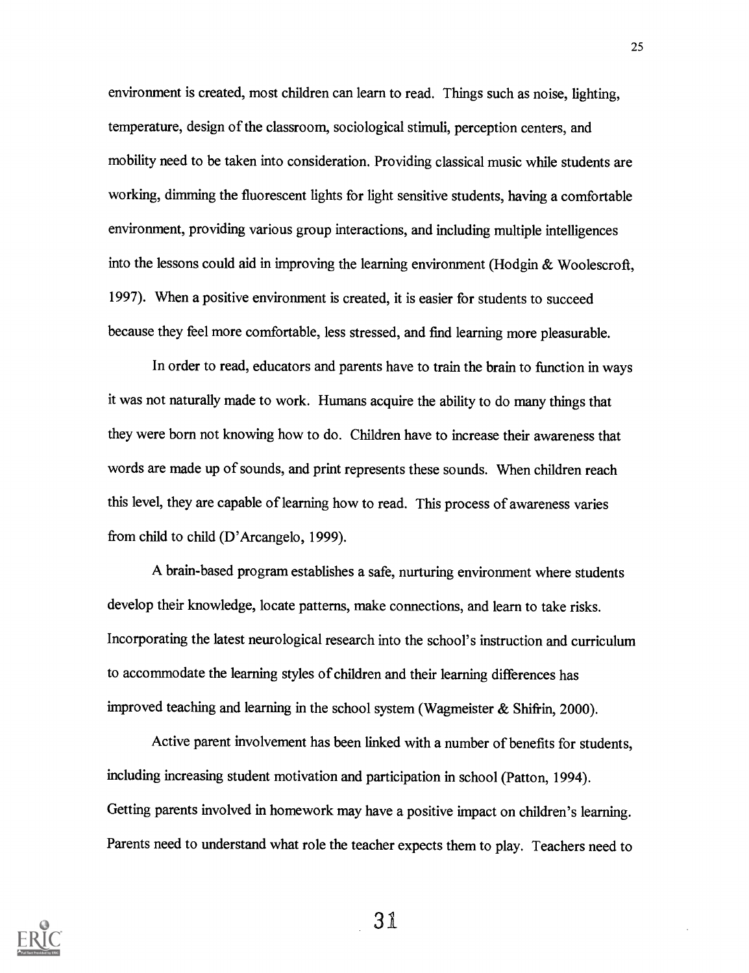environment is created, most children can learn to read. Things such as noise, lighting, temperature, design of the classroom, sociological stimuli, perception centers, and mobility need to be taken into consideration. Providing classical music while students are working, dimming the fluorescent lights for light sensitive students, having a comfortable environment, providing various group interactions, and including multiple intelligences into the lessons could aid in improving the learning environment (Hodgin & Woolescroft, 1997). When a positive environment is created, it is easier for students to succeed because they feel more comfortable, less stressed, and find learning more pleasurable.

In order to read, educators and parents have to train the brain to function in ways it was not naturally made to work. Humans acquire the ability to do many things that they were born not knowing how to do. Children have to increase their awareness that words are made up of sounds, and print represents these sounds. When children reach this level, they are capable of learning how to read. This process of awareness varies from child to child (D'Arcangelo, 1999).

A brain-based program establishes a safe, nurturing environment where students develop their knowledge, locate patterns, make connections, and learn to take risks. Incorporating the latest neurological research into the school's instruction and curriculum to accommodate the learning styles of children and their learning differences has improved teaching and learning in the school system (Wagmeister & Shifrin, 2000).

Active parent involvement has been linked with a number of benefits for students, including increasing student motivation and participation in school (Patton, 1994). Getting parents involved in homework may have a positive impact on children's learning. Parents need to understand what role the teacher expects them to play. Teachers need to

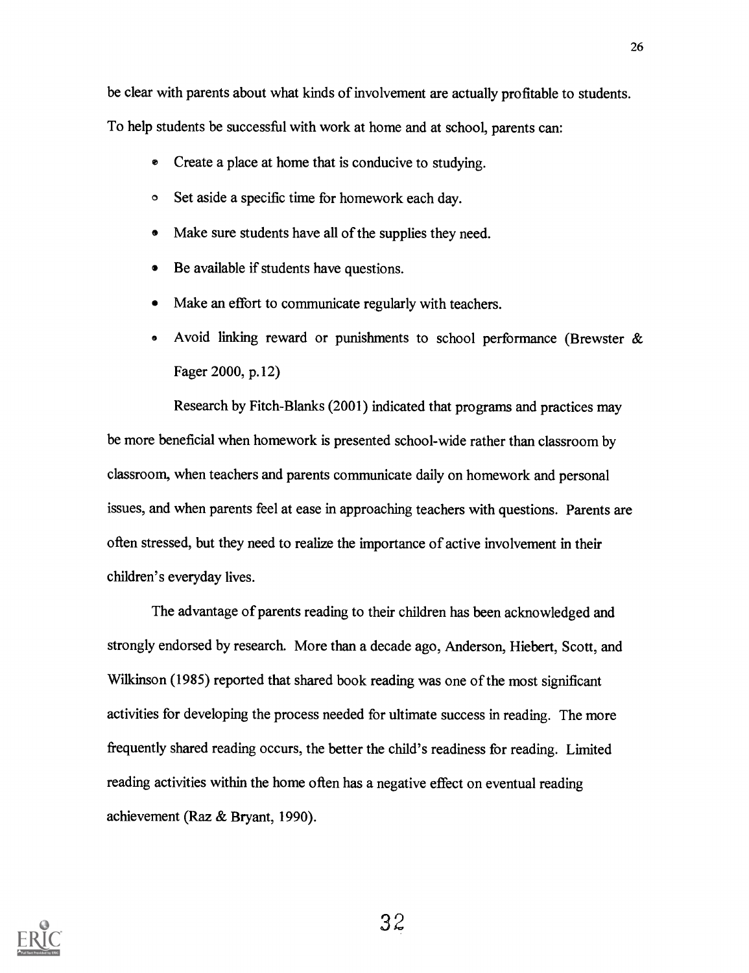be clear with parents about what kinds of involvement are actually profitable to students. To help students be successful with work at home and at school, parents can:

- e Create a place at home that is conducive to studying.
- <sup>O</sup> Set aside a specific time for homework each day.
- Make sure students have all of the supplies they need.  $\bullet$
- Be available if students have questions.  $\bullet$
- Make an effort to communicate regularly with teachers.
- Avoid linking reward or punishments to school performance (Brewster & Fager 2000, p.12)

Research by Fitch-Blanks (2001) indicated that programs and practices may be more beneficial when homework is presented school-wide rather than classroom by classroom, when teachers and parents communicate daily on homework and personal issues, and when parents feel at ease in approaching teachers with questions. Parents are often stressed, but they need to realize the importance of active involvement in their children's everyday lives.

The advantage of parents reading to their children has been acknowledged and strongly endorsed by research. More than a decade ago, Anderson, Hiebert, Scott, and Wilkinson (1985) reported that shared book reading was one of the most significant activities for developing the process needed for ultimate success in reading. The more frequently shared reading occurs, the better the child's readiness for reading. Limited reading activities within the home often has a negative effect on eventual reading achievement (Raz & Bryant, 1990).

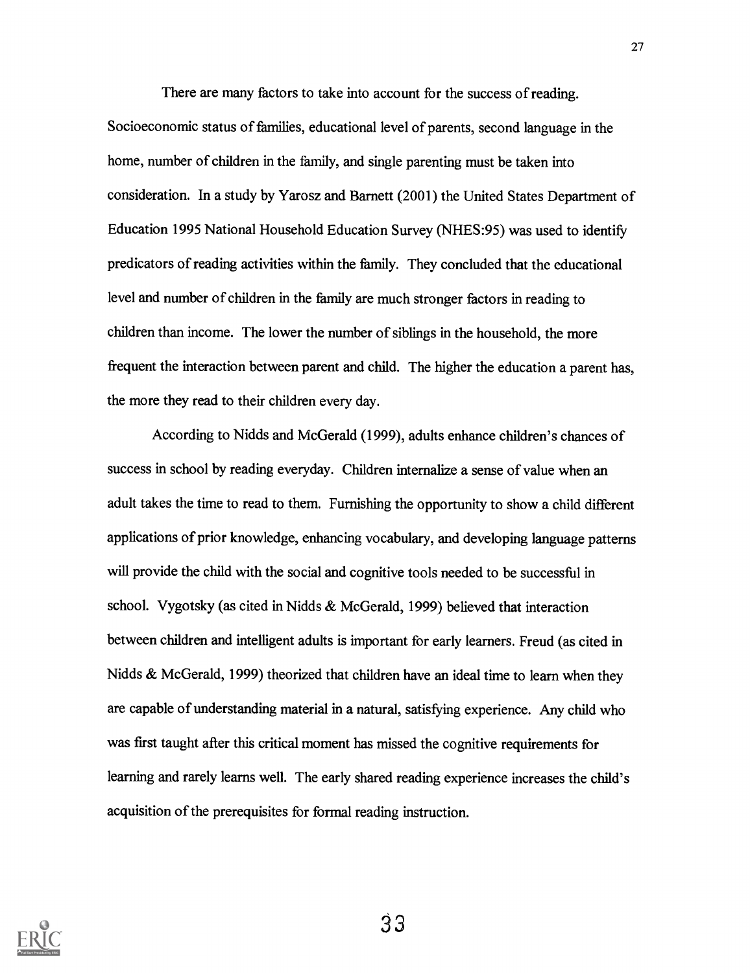There are many factors to take into account for the success of reading. Socioeconomic status of families, educational level of parents, second language in the home, number of children in the family, and single parenting must be taken into consideration. In a study by Yarosz and Barnett (2001) the United States Department of Education 1995 National Household Education Survey (NHES:95) was used to identify predicators of reading activities within the family. They concluded that the educational level and number of children in the family are much stronger factors in reading to children than income. The lower the number of siblings in the household, the more frequent the interaction between parent and child. The higher the education a parent has, the more they read to their children every day.

According to Nidds and McGerald (1999), adults enhance children's chances of success in school by reading everyday. Children internalize a sense of value when an adult takes the time to read to them. Furnishing the opportunity to show a child different applications of prior knowledge, enhancing vocabulary, and developing language patterns will provide the child with the social and cognitive tools needed to be successful in school. Vygotsky (as cited in Nidds & McGerald, 1999) believed that interaction between children and intelligent adults is important for early learners. Freud (as cited in Nidds & McGerald, 1999) theorized that children have an ideal time to learn when they are capable of understanding material in a natural, satisfying experience. Any child who was first taught after this critical moment has missed the cognitive requirements for learning and rarely learns well. The early shared reading experience increases the child's acquisition of the prerequisites for formal reading instruction.

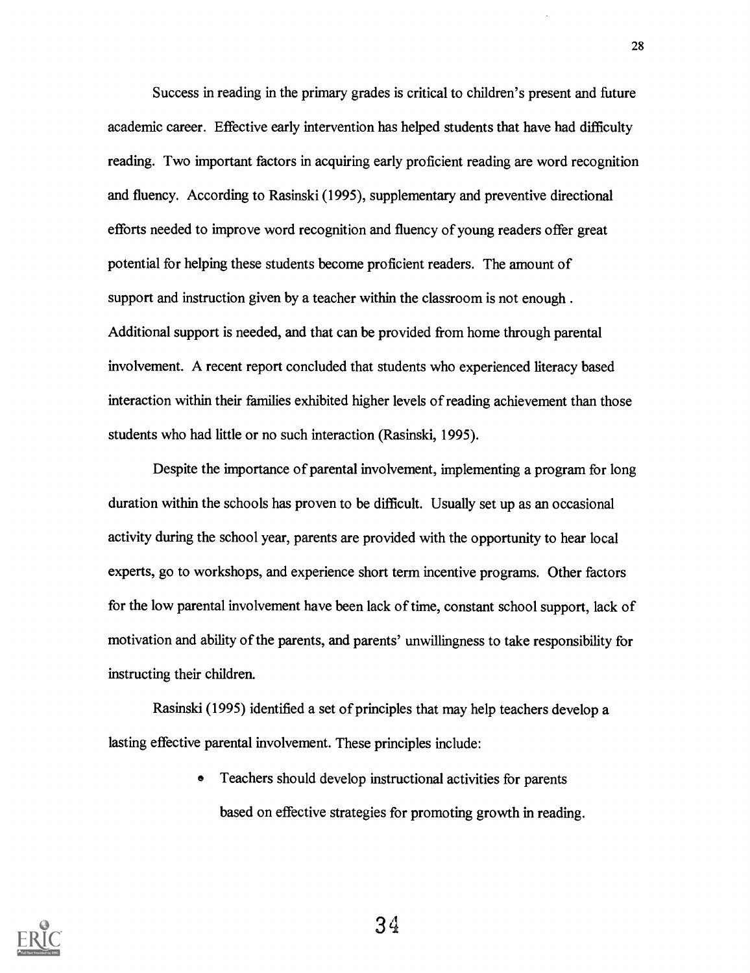Success in reading in the primary grades is critical to children's present and future academic career. Effective early intervention has helped students that have had difficulty reading. Two important factors in acquiring early proficient reading are word recognition and fluency. According to Rasinski (1995), supplementary and preventive directional efforts needed to improve word recognition and fluency of young readers offer great potential for helping these students become proficient readers. The amount of support and instruction given by a teacher within the classroom is not enough . Additional support is needed, and that can be provided from home through parental involvement. A recent report concluded that students who experienced literacy based interaction within their families exhibited higher levels of reading achievement than those students who had little or no such interaction (Rasinski, 1995).

Despite the importance of parental involvement, implementing a program for long duration within the schools has proven to be difficult. Usually set up as an occasional activity during the school year, parents are provided with the opportunity to hear local experts, go to workshops, and experience short term incentive programs. Other factors for the low parental involvement have been lack of time, constant school support, lack of motivation and ability of the parents, and parents' unwillingness to take responsibility for instructing their children.

Rasinski (1995) identified a set of principles that may help teachers develop a lasting effective parental involvement. These principles include:

> e Teachers should develop instructional activities for parents based on effective strategies for promoting growth in reading.

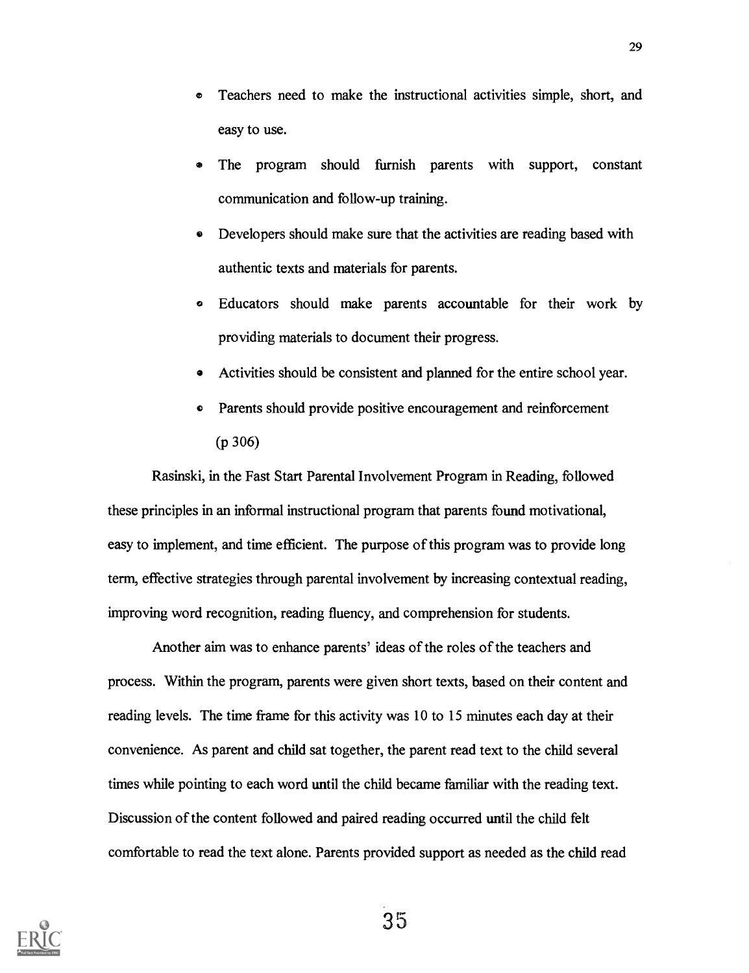- Teachers need to make the instructional activities simple, short, and ø easy to use.
- The program should furnish parents with support, constant communication and follow-up training.
- Developers should make sure that the activities are reading based with authentic texts and materials for parents.
- Educators should make parents accountable for their work by providing materials to document their progress.
- Activities should be consistent and planned for the entire school year.
- Parents should provide positive encouragement and reinforcement (p 306)

Rasinski, in the Fast Start Parental Involvement Program in Reading, followed these principles in an informal instructional program that parents found motivational, easy to implement, and time efficient. The purpose of this program was to provide long term, effective strategies through parental involvement by increasing contextual reading, improving word recognition, reading fluency, and comprehension for students.

Another aim was to enhance parents' ideas of the roles of the teachers and process. Within the program, parents were given short texts, based on their content and reading levels. The time frame for this activity was 10 to 15 minutes each day at their convenience. As parent and child sat together, the parent read text to the child several times while pointing to each word until the child became familiar with the reading text. Discussion of the content followed and paired reading occurred until the child felt comfortable to read the text alone. Parents provided support as needed as the child read

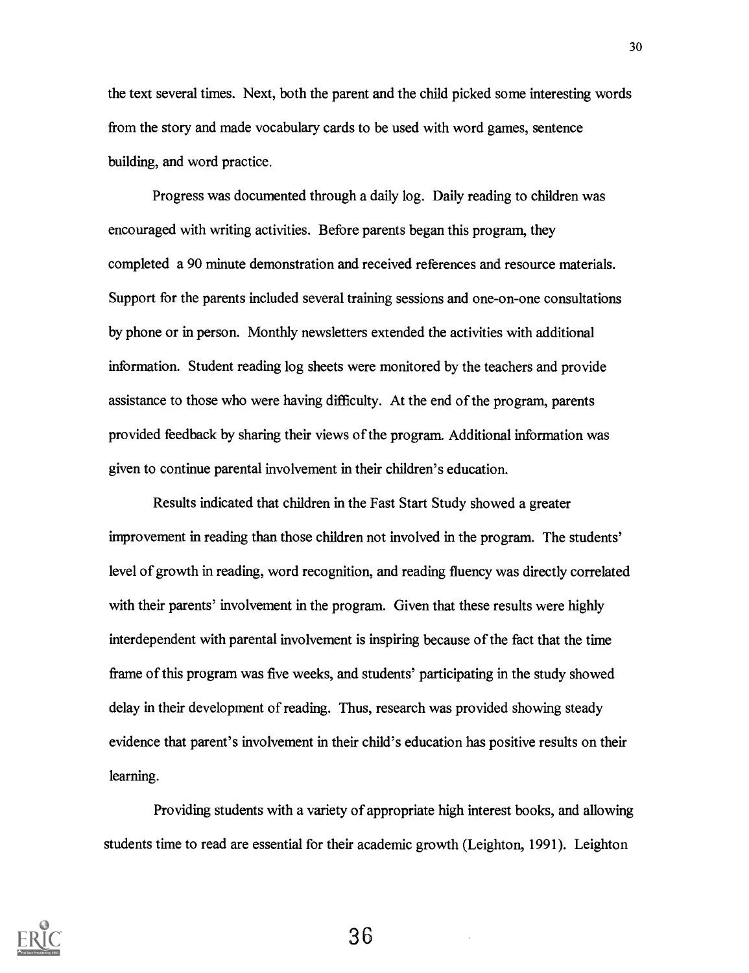the text several times. Next, both the parent and the child picked some interesting words from the story and made vocabulary cards to be used with word games, sentence building, and word practice.

Progress was documented through a daily log. Daily reading to children was encouraged with writing activities. Before parents began this program, they completed a 90 minute demonstration and received references and resource materials. Support for the parents included several training sessions and one-on-one consultations by phone or in person. Monthly newsletters extended the activities with additional information. Student reading log sheets were monitored by the teachers and provide assistance to those who were having difficulty. At the end of the program, parents provided feedback by sharing their views of the program. Additional information was given to continue parental involvement in their children's education.

Results indicated that children in the Fast Start Study showed a greater improvement in reading than those children not involved in the program. The students' level of growth in reading, word recognition, and reading fluency was directly correlated with their parents' involvement in the program. Given that these results were highly interdependent with parental involvement is inspiring because of the fact that the time frame of this program was five weeks, and students' participating in the study showed delay in their development of reading. Thus, research was provided showing steady evidence that parent's involvement in their child's education has positive results on their learning.

Providing students with a variety of appropriate high interest books, and allowing students time to read are essential for their academic growth (Leighton, 1991). Leighton

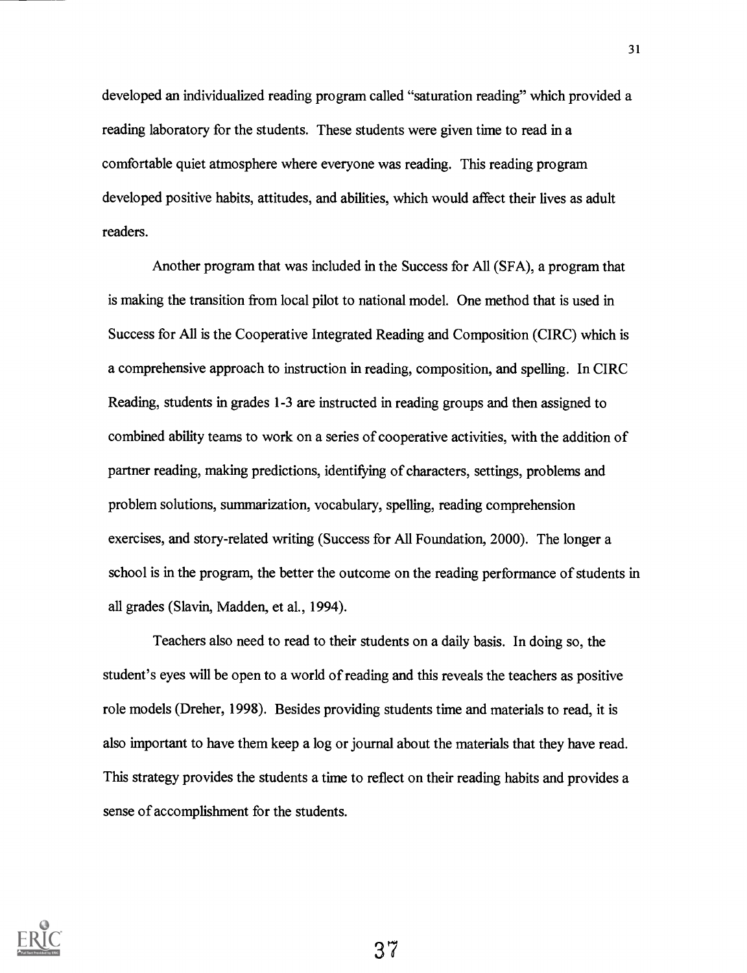developed an individualized reading program called "saturation reading" which provided a reading laboratory for the students. These students were given time to read in a comfortable quiet atmosphere where everyone was reading. This reading program developed positive habits, attitudes, and abilities, which would affect their lives as adult readers.

Another program that was included in the Success for All (SFA), a program that is making the transition from local pilot to national model. One method that is used in Success for All is the Cooperative Integrated Reading and Composition (CIRC) which is a comprehensive approach to instruction in reading, composition, and spelling. In CIRC Reading, students in grades 1-3 are instructed in reading groups and then assigned to combined ability teams to work on a series of cooperative activities, with the addition of partner reading, making predictions, identifying of characters, settings, problems and problem solutions, summarization, vocabulary, spelling, reading comprehension exercises, and story-related writing (Success for All Foundation, 2000). The longer a school is in the program, the better the outcome on the reading performance of students in all grades (Slavin, Madden, et al., 1994).

Teachers also need to read to their students on a daily basis. In doing so, the student's eyes will be open to a world of reading and this reveals the teachers as positive role models (Dreher, 1998). Besides providing students time and materials to read, it is also important to have them keep a log or journal about the materials that they have read. This strategy provides the students a time to reflect on their reading habits and provides a sense of accomplishment for the students.

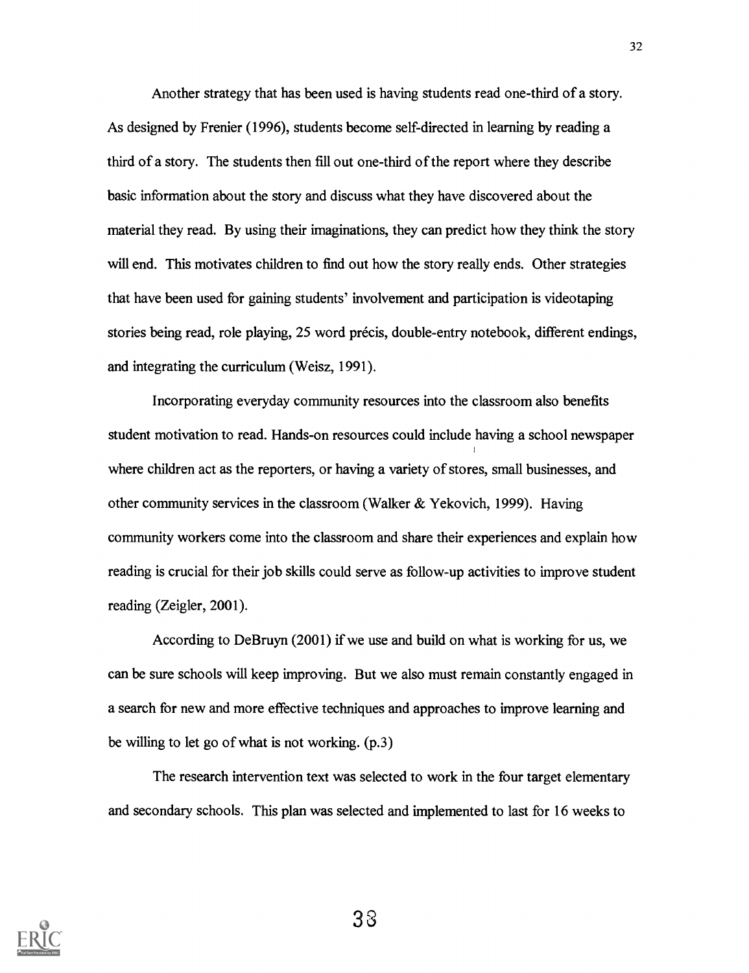Another strategy that has been used is having students read one-third of a story. As designed by Frenier (1996), students become self-directed in learning by reading a third of a story. The students then fill out one-third of the report where they describe basic information about the story and discuss what they have discovered about the material they read. By using their imaginations, they can predict how they think the story will end. This motivates children to find out how the story really ends. Other strategies that have been used for gaining students' involvement and participation is videotaping stories being read, role playing, 25 word précis, double-entry notebook, different endings, and integrating the curriculum (Weisz, 1991).

Incorporating everyday community resources into the classroom also benefits student motivation to read. Hands-on resources could include having a school newspaper where children act as the reporters, or having a variety of stores, small businesses, and other community services in the classroom (Walker  $\&$  Yekovich, 1999). Having community workers come into the classroom and share their experiences and explain how reading is crucial for their job skills could serve as follow-up activities to improve student reading (Zeigler, 2001).

According to DeBruyn (2001) if we use and build on what is working for us, we can be sure schools will keep improving. But we also must remain constantly engaged in a search for new and more effective techniques and approaches to improve learning and be willing to let go of what is not working. (p.3)

The research intervention text was selected to work in the four target elementary and secondary schools. This plan was selected and implemented to last for 16 weeks to

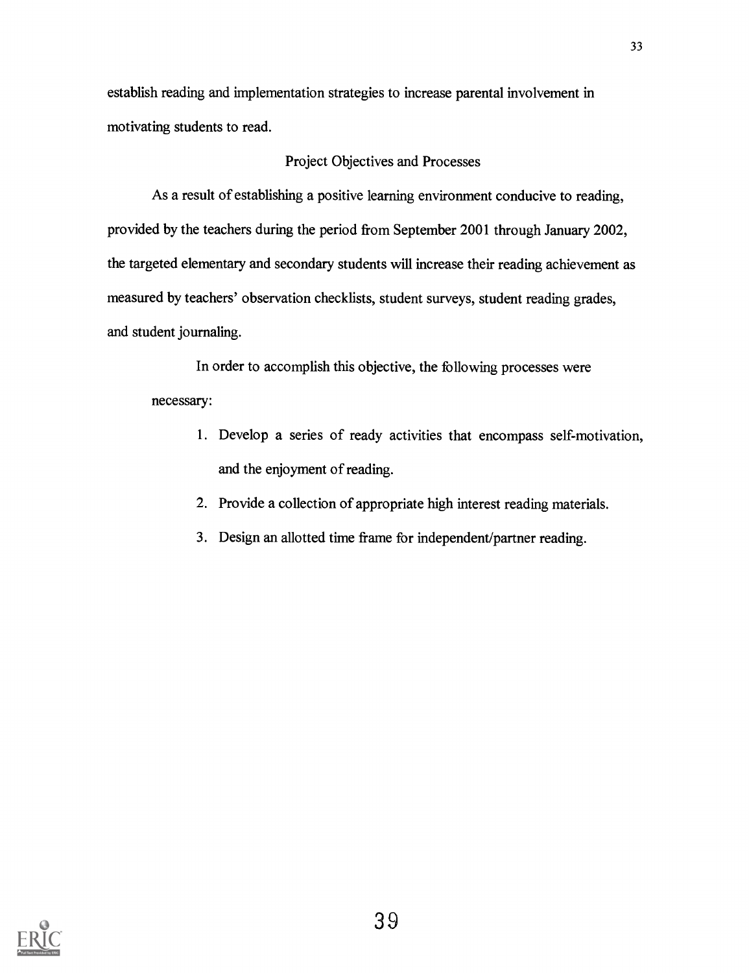establish reading and implementation strategies to increase parental involvement in motivating students to read.

#### Project Objectives and Processes

As a result of establishing a positive learning environment conducive to reading, provided by the teachers during the period from September 2001 through January 2002, the targeted elementary and secondary students will increase their reading achievement as measured by teachers' observation checklists, student surveys, student reading grades, and student journaling.

In order to accomplish this objective, the following processes were necessary:

- 1. Develop a series of ready activities that encompass self-motivation, and the enjoyment of reading.
- 2. Provide a collection of appropriate high interest reading materials.
- 3. Design an allotted time frame for independent/partner reading.

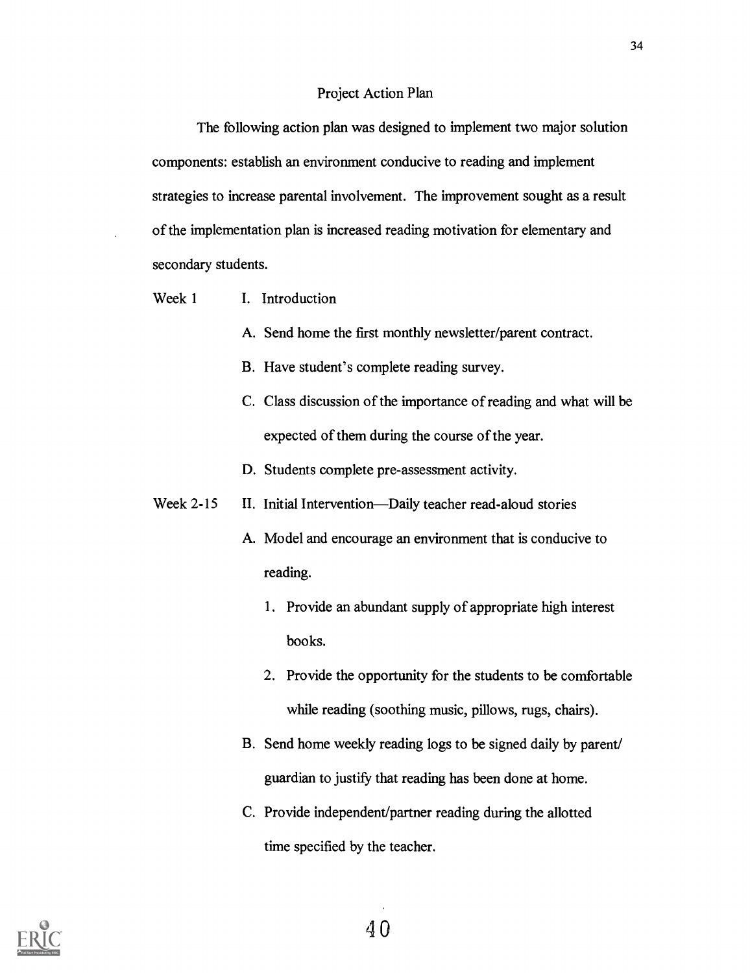#### Project Action Plan

The following action plan was designed to implement two major solution components: establish an environment conducive to reading and implement strategies to increase parental involvement. The improvement sought as a result of the implementation plan is increased reading motivation for elementary and secondary students.

- Week 1 I. Introduction
	- A. Send home the first monthly newsletter/parent contract.
	- B. Have student's complete reading survey.
	- C. Class discussion of the importance of reading and what will be expected of them during the course of the year.
	- D. Students complete pre-assessment activity.
- Week 2-15 II. Initial Intervention—Daily teacher read-aloud stories
	- A. Model and encourage an environment that is conducive to reading.
		- 1. Provide an abundant supply of appropriate high interest books.
		- 2. Provide the opportunity for the students to be comfortable while reading (soothing music, pillows, rugs, chairs).
	- B. Send home weekly reading logs to be signed daily by parent/ guardian to justify that reading has been done at home.
	- C. Provide independent/partner reading during the allotted time specified by the teacher.

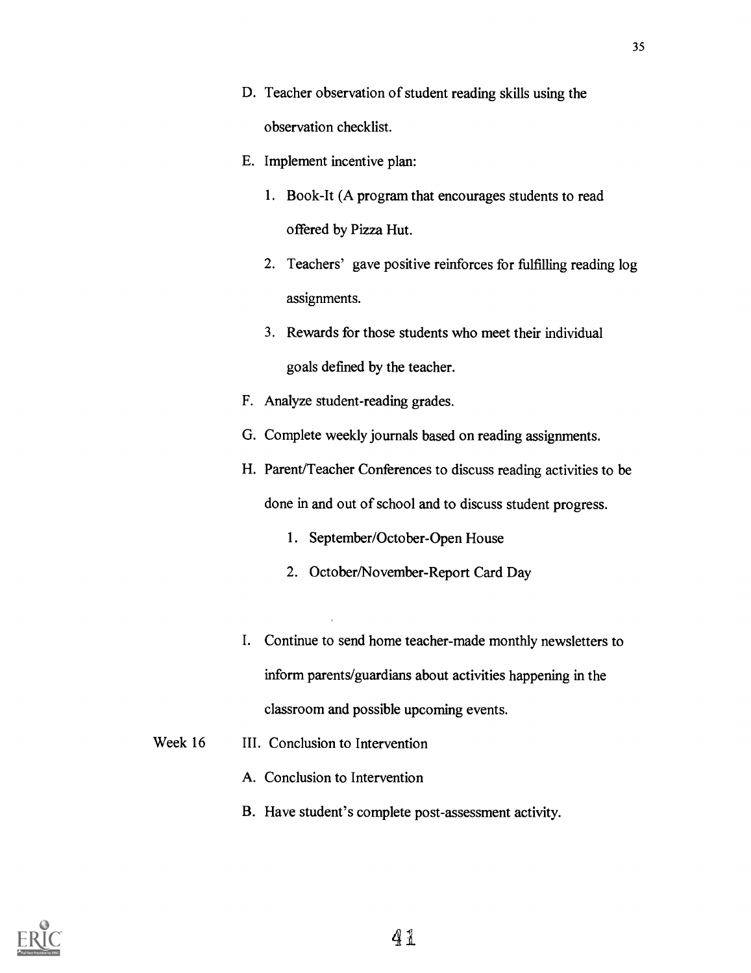- D. Teacher observation of student reading skills using the observation checklist.
- E. Implement incentive plan:
	- 1. Book-It (A program that encourages students to read offered by Pizza Hut.
	- 2. Teachers' gave positive reinforces for fulfilling reading log assignments.
	- 3. Rewards for those students who meet their individual goals defined by the teacher.
- F. Analyze student-reading grades.
- G. Complete weekly journals based on reading assignments.
- H. Parent/Teacher Conferences to discuss reading activities to be done in and out of school and to discuss student progress.
	- 1. September/October-Open House
	- 2. October/November-Report Card Day
- I. Continue to send home teacher-made monthly newsletters to inform parents/guardians about activities happening in the classroom and possible upcoming events.
- Week 16 III. Conclusion to Intervention
	- A. Conclusion to Intervention
	- B. Have student's complete post-assessment activity.

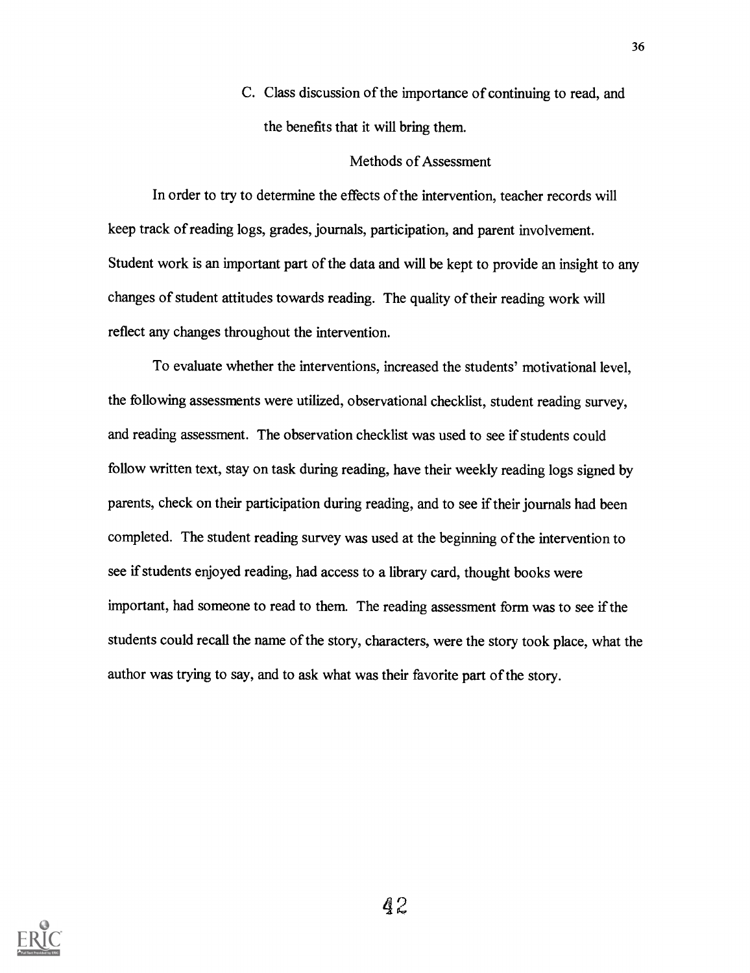C. Class discussion of the importance of continuing to read, and the benefits that it will bring them.

#### Methods of Assessment

In order to try to determine the effects of the intervention, teacher records will keep track of reading logs, grades, journals, participation, and parent involvement. Student work is an important part of the data and will be kept to provide an insight to any changes of student attitudes towards reading. The quality of their reading work will reflect any changes throughout the intervention.

To evaluate whether the interventions, increased the students' motivational level, the following assessments were utilized, observational checklist, student reading survey, and reading assessment. The observation checklist was used to see if students could follow written text, stay on task during reading, have their weekly reading logs signed by parents, check on their participation during reading, and to see if their journals had been completed. The student reading survey was used at the beginning of the intervention to see if students enjoyed reading, had access to a library card, thought books were important, had someone to read to them. The reading assessment form was to see if the students could recall the name of the story, characters, were the story took place, what the author was trying to say, and to ask what was their favorite part of the story.

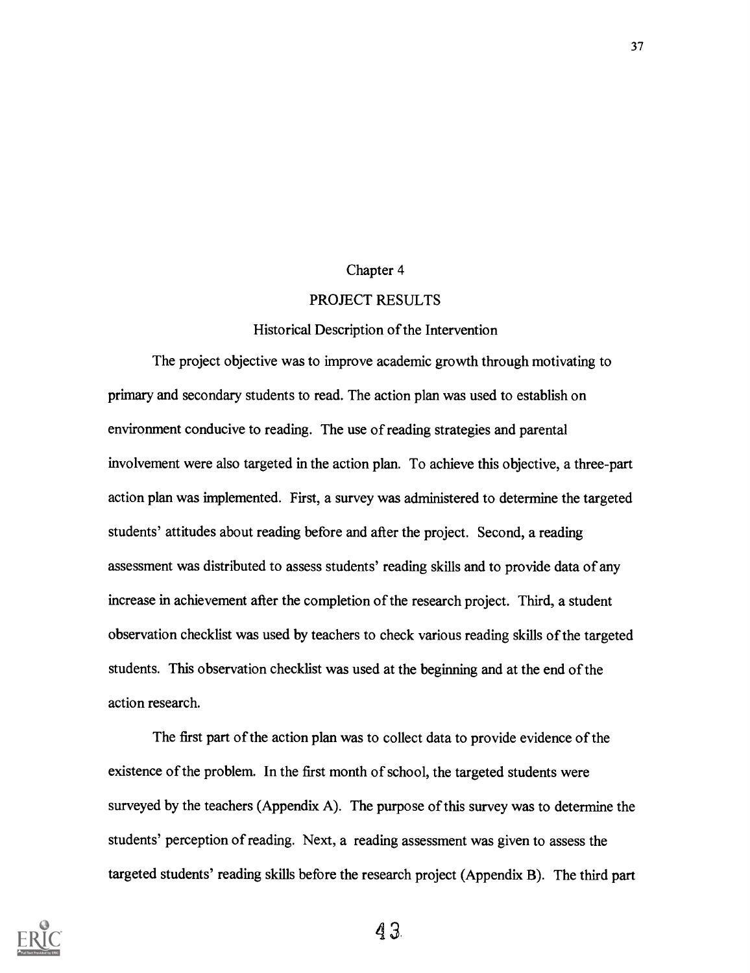#### Chapter 4

#### PROJECT RESULTS

#### Historical Description of the Intervention

The project objective was to improve academic growth through motivating to primary and secondary students to read. The action plan was used to establish on environment conducive to reading. The use of reading strategies and parental involvement were also targeted in the action plan. To achieve this objective, a three-part action plan was implemented. First, a survey was administered to determine the targeted students' attitudes about reading before and after the project. Second, a reading assessment was distributed to assess students' reading skills and to provide data of any increase in achievement after the completion of the research project. Third, a student observation checklist was used by teachers to check various reading skills of the targeted students. This observation checklist was used at the beginning and at the end of the action research.

The first part of the action plan was to collect data to provide evidence of the existence of the problem. In the first month of school, the targeted students were surveyed by the teachers (Appendix A). The purpose of this survey was to determine the students' perception of reading. Next, a reading assessment was given to assess the targeted students' reading skills before the research project (Appendix B). The third part

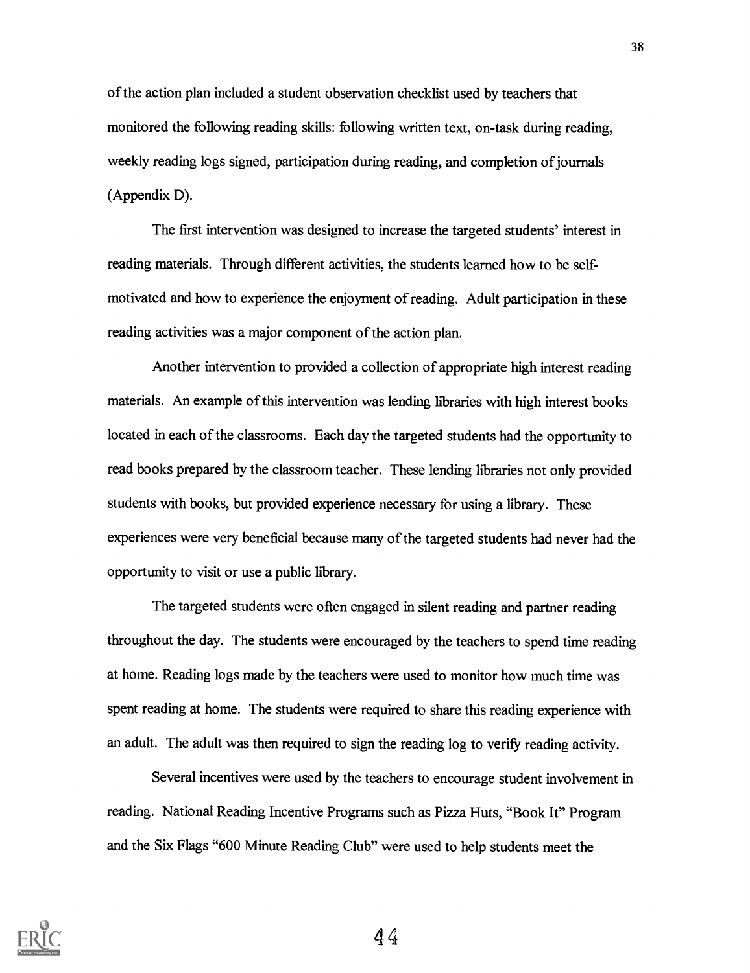of the action plan included a student observation checklist used by teachers that monitored the following reading skills: following written text, on-task during reading, weekly reading logs signed, participation during reading, and completion of journals (Appendix D).

The first intervention was designed to increase the targeted students' interest in reading materials. Through different activities, the students learned how to be selfmotivated and how to experience the enjoyment of reading. Adult participation in these reading activities was a major component of the action plan.

Another intervention to provided a collection of appropriate high interest reading materials. An example of this intervention was lending libraries with high interest books located in each of the classrooms. Each day the targeted students had the opportunity to read books prepared by the classroom teacher. These lending libraries not only provided students with books, but provided experience necessary for using a library. These experiences were very beneficial because many of the targeted students had never had the opportunity to visit or use a public library.

The targeted students were often engaged in silent reading and partner reading throughout the day. The students were encouraged by the teachers to spend time reading at home. Reading logs made by the teachers were used to monitor how much time was spent reading at home. The students were required to share this reading experience with an adult. The adult was then required to sign the reading log to verify reading activity.

Several incentives were used by the teachers to encourage student involvement in reading. National Reading Incentive Programs such as Pizza Huts, "Book It" Program and the Six Flags "600 Minute Reading Club" were used to help students meet the

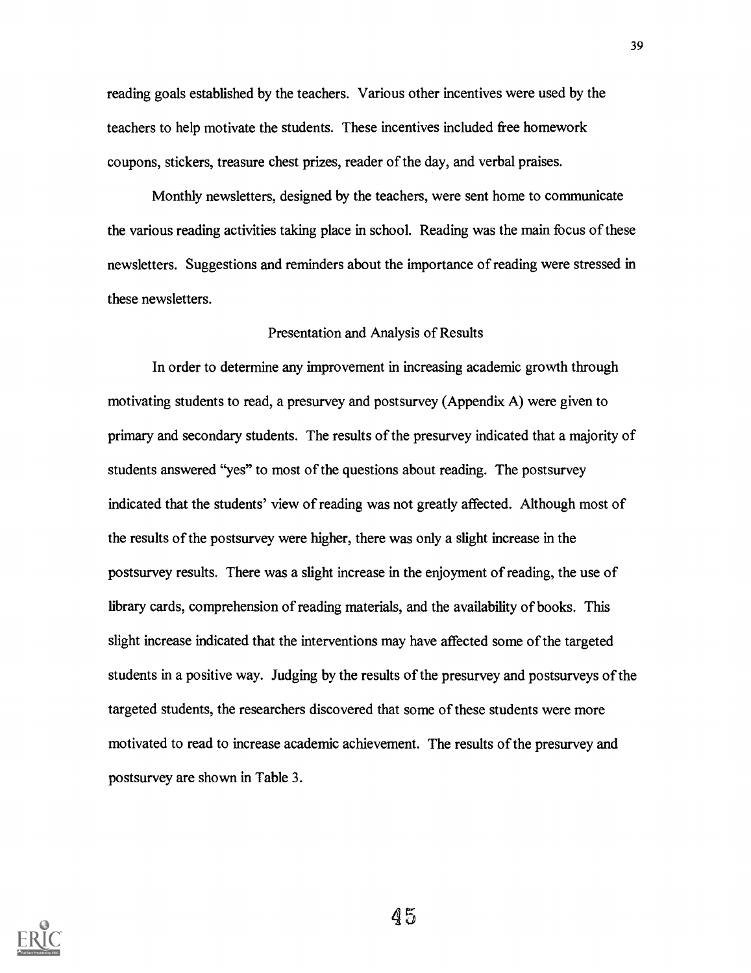reading goals established by the teachers. Various other incentives were used by the teachers to help motivate the students. These incentives included free homework coupons, stickers, treasure chest prizes, reader of the day, and verbal praises.

Monthly newsletters, designed by the teachers, were sent home to communicate the various reading activities taking place in school. Reading was the main focus of these newsletters. Suggestions and reminders about the importance of reading were stressed in these newsletters.

#### Presentation and Analysis of Results

In order to determine any improvement in increasing academic growth through motivating students to read, a presurvey and postsurvey (Appendix A) were given to primary and secondary students. The results of the presurvey indicated that a majority of students answered "yes" to most of the questions about reading. The postsurvey indicated that the students' view of reading was not greatly affected. Although most of the results of the postsurvey were higher, there was only a slight increase in the postsurvey results. There was a slight increase in the enjoyment of reading, the use of library cards, comprehension of reading materials, and the availability of books. This slight increase indicated that the interventions may have affected some of the targeted students in a positive way. Judging by the results of the presurvey and postsurveys of the targeted students, the researchers discovered that some of these students were more motivated to read to increase academic achievement. The results of the presurvey and postsurvey are shown in Table 3.

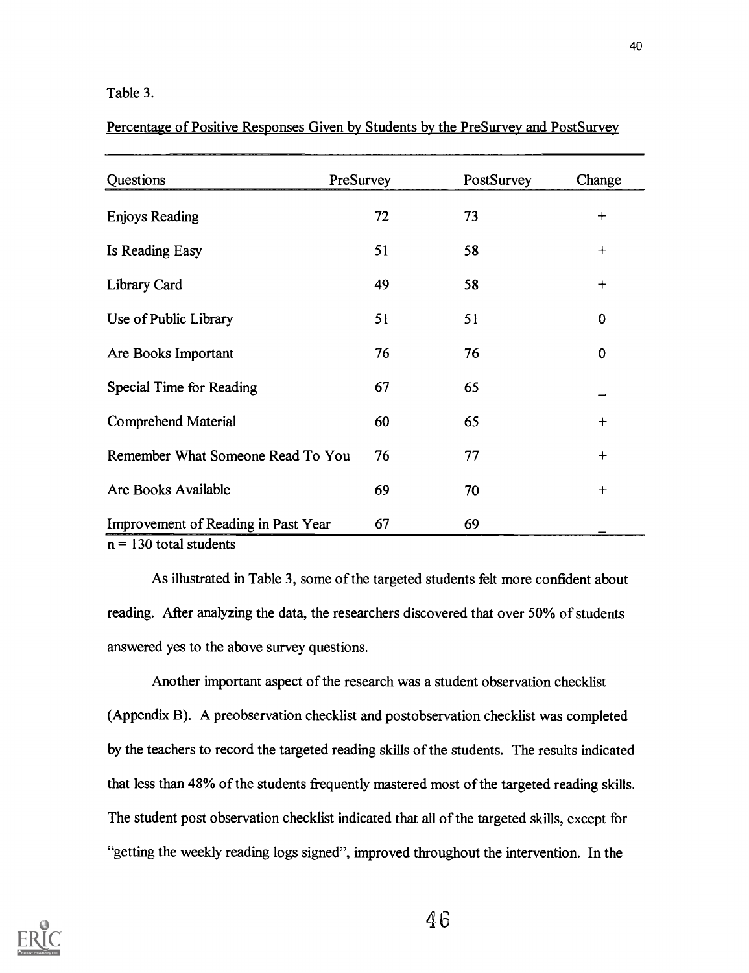#### Table 3.

| Percentage of Positive Responses Given by Students by the PreSurvey and PostSurvey |  |  |  |
|------------------------------------------------------------------------------------|--|--|--|
|                                                                                    |  |  |  |

| Questions                           | PreSurvey | PostSurvey | Change         |
|-------------------------------------|-----------|------------|----------------|
| <b>Enjoys Reading</b>               | 72        | 73         | $^{+}$         |
| Is Reading Easy                     | 51        | 58         | $\ddot{}$      |
| Library Card                        | 49        | 58         | $\overline{+}$ |
| Use of Public Library               | 51        | 51         | $\bf{0}$       |
| Are Books Important                 | 76        | 76         | $\bf{0}$       |
| Special Time for Reading            | 67        | 65         |                |
| Comprehend Material                 | 60        | 65         | $+$            |
| Remember What Someone Read To You   | 76        | 77         | $^{+}$         |
| Are Books Available                 | 69        | 70         | $^{+}$         |
| Improvement of Reading in Past Year | 67        | 69         |                |

 $n = 130$  total students

As illustrated in Table 3, some of the targeted students felt more confident about reading. After analyzing the data, the researchers discovered that over 50% of students answered yes to the above survey questions.

Another important aspect of the research was a student observation checklist (Appendix B). A preobservation checklist and postobservation checklist was completed by the teachers to record the targeted reading skills of the students. The results indicated that less than 48% of the students frequently mastered most of the targeted reading skills. The student post observation checklist indicated that all of the targeted skills, except for "getting the weekly reading logs signed", improved throughout the intervention. In the

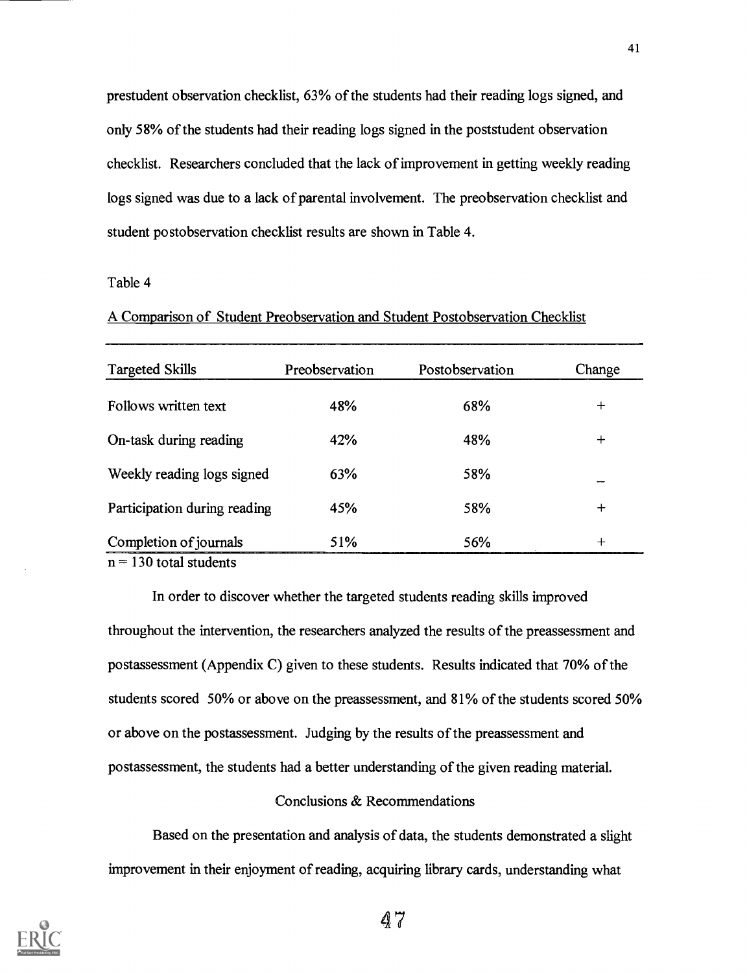prestudent observation checklist, 63% of the students had their reading logs signed, and only 58% of the students had their reading logs signed in the poststudent observation checklist. Researchers concluded that the lack of improvement in getting weekly reading logs signed was due to a lack of parental involvement. The preobservation checklist and student postobservation checklist results are shown in Table 4.

#### Table 4

A Comparison of Student Preobservation and Student Postobservation Checklist

| <b>Targeted Skills</b>       | Preobservation | Postobservation | Change |
|------------------------------|----------------|-----------------|--------|
| Follows written text         | 48%            | 68%             | $\div$ |
| On-task during reading       | 42%            | 48%             | $+$    |
| Weekly reading logs signed   | 63%            | 58%             |        |
| Participation during reading | 45%            | 58%             | $\div$ |
| Completion of journals       | 51%            | 56%             | ┶      |

 $n = 130$  total students

In order to discover whether the targeted students reading skills improved throughout the intervention, the researchers analyzed the results of the preassessment and postassessment (Appendix C) given to these students. Results indicated that 70% of the students scored 50% or above on the preassessment, and 81% of the students scored 50% or above on the postassessment. Judging by the results of the preassessment and postassessment, the students had a better understanding of the given reading material.

#### Conclusions & Recommendations

Based on the presentation and analysis of data, the students demonstrated a slight improvement in their enjoyment of reading, acquiring library cards, understanding what

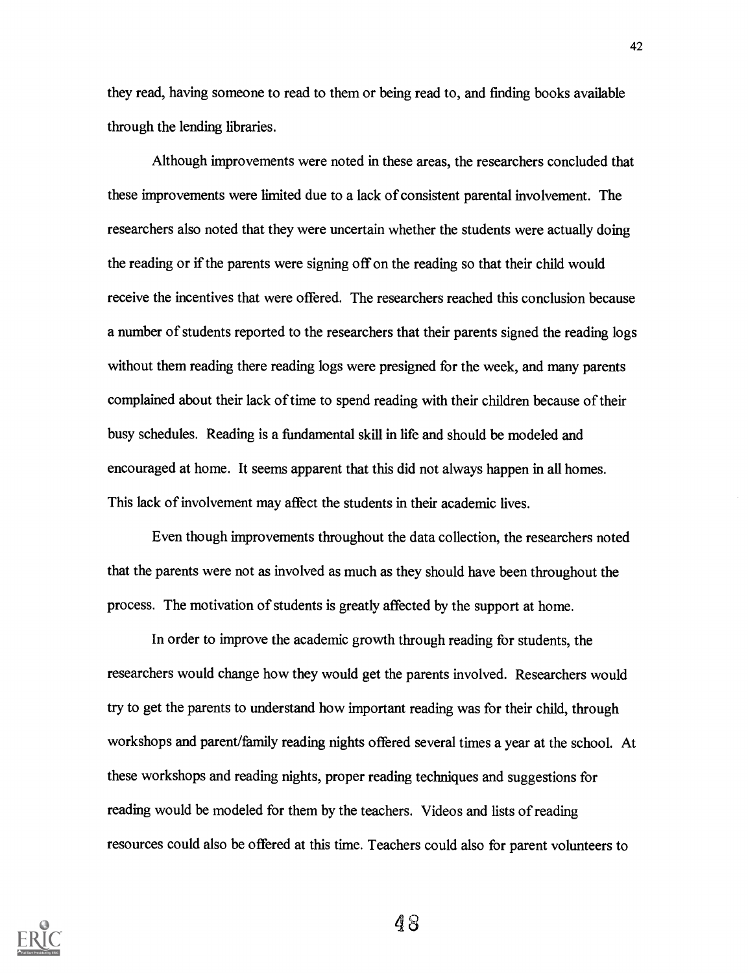they read, having someone to read to them or being read to, and finding books available through the lending libraries.

Although improvements were noted in these areas, the researchers concluded that these improvements were limited due to a lack of consistent parental involvement. The researchers also noted that they were uncertain whether the students were actually doing the reading or if the parents were signing off on the reading so that their child would receive the incentives that were offered. The researchers reached this conclusion because a number of students reported to the researchers that their parents signed the reading logs without them reading there reading logs were presigned for the week, and many parents complained about their lack of time to spend reading with their children because of their busy schedules. Reading is a fundamental skill in life and should be modeled and encouraged at home. It seems apparent that this did not always happen in all homes. This lack of involvement may affect the students in their academic lives.

Even though improvements throughout the data collection, the researchers noted that the parents were not as involved as much as they should have been throughout the process. The motivation of students is greatly affected by the support at home.

In order to improve the academic growth through reading for students, the researchers would change how they would get the parents involved. Researchers would try to get the parents to understand how important reading was for their child, through workshops and parent/family reading nights offered several times a year at the school. At these workshops and reading nights, proper reading techniques and suggestions for reading would be modeled for them by the teachers. Videos and lists of reading resources could also be offered at this time. Teachers could also for parent volunteers to

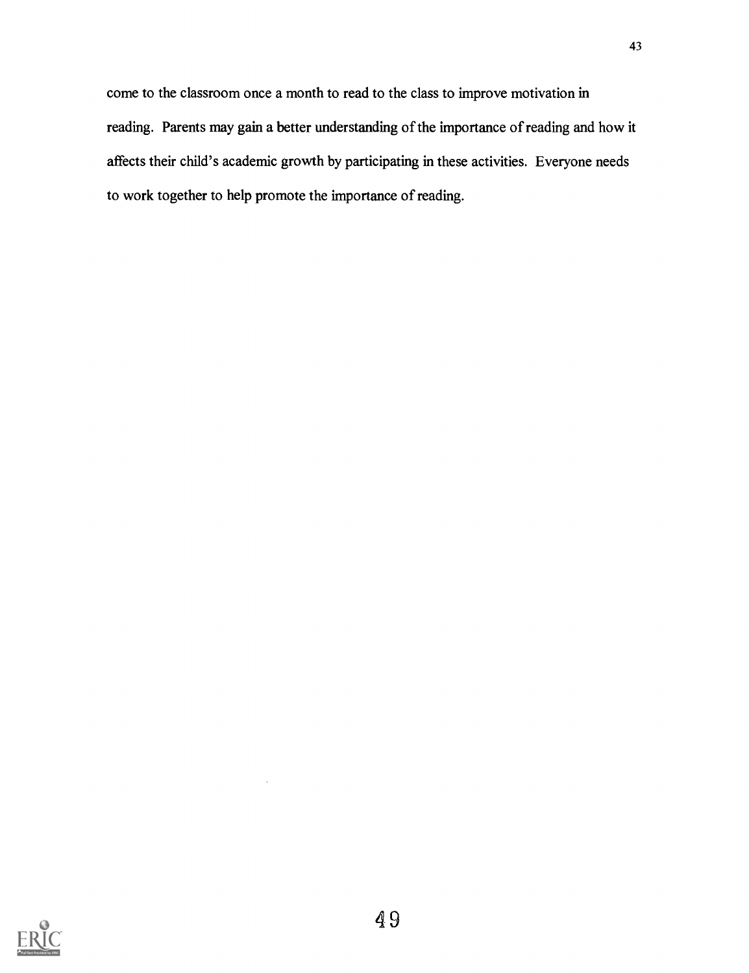come to the classroom once a month to read to the class to improve motivation in reading. Parents may gain a better understanding of the importance of reading and how it affects their child's academic growth by participating in these activities. Everyone needs to work together to help promote the importance of reading.

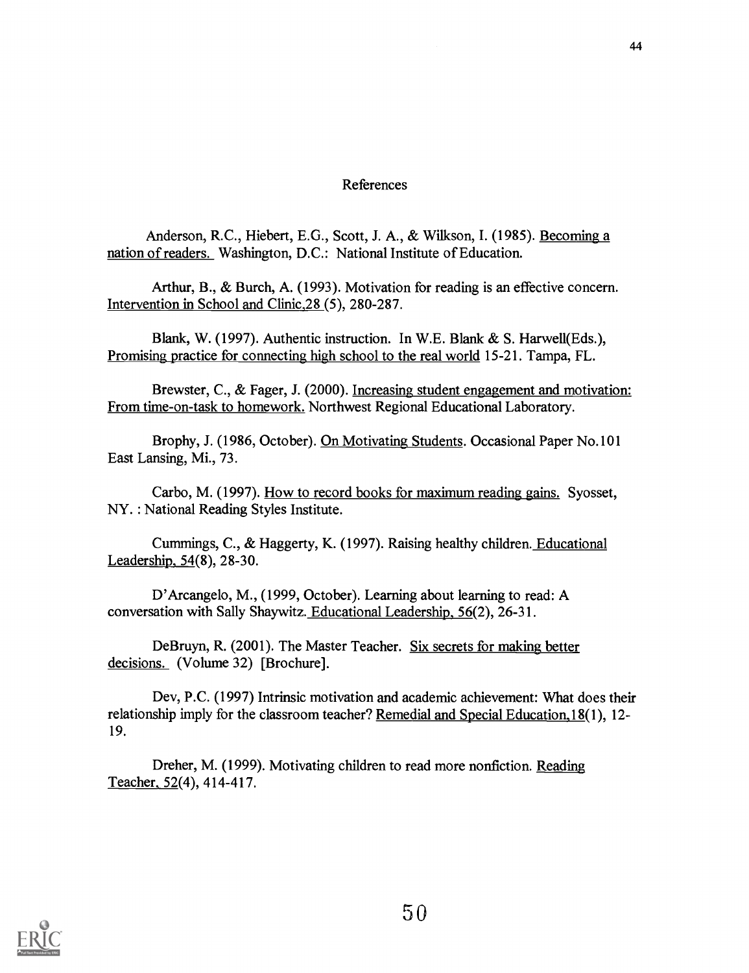#### References

Anderson, R.C., Hiebert, E.G., Scott, J. A., & Wilkson, I. (1985). Becoming a nation of readers. Washington, D.C.: National Institute of Education.

Arthur, B., & Burch, A. (1993). Motivation for reading is an effective concern. Intervention in School and Clinic,28 (5), 280-287.

Blank, W. (1997). Authentic instruction. In W.E. Blank & S. Harwell(Eds.), Promising practice for connecting high school to the real world 15-21. Tampa, FL.

Brewster, C., & Fager, J. (2000). Increasing student engagement and motivation: From time-on-task to homework. Northwest Regional Educational Laboratory.

Brophy, J. (1986, October). On Motivating Students. Occasional Paper No.101 East Lansing, Mi., 73.

Carbo, M. (1997). How to record books for maximum reading gains. Syosset, NY. : National Reading Styles Institute.

Cummings, C., & Haggerty, K. (1997). Raising healthy children. Educational Leadership, 54(8), 28-30.

D'Arcangelo, M., (1999, October). Learning about learning to read: A conversation with Sally Shaywitz. Educational Leadership, 56(2), 26-31.

DeBruyn, R. (2001). The Master Teacher. Six secrets for making better decisions. (Volume 32) [Brochure].

Dev, P.C. (1997) Intrinsic motivation and academic achievement: What does their relationship imply for the classroom teacher? Remedial and Special Education,18(1), 12- 19.

Dreher, M. (1999). Motivating children to read more nonfiction. Reading Teacher, 52(4), 414-417.

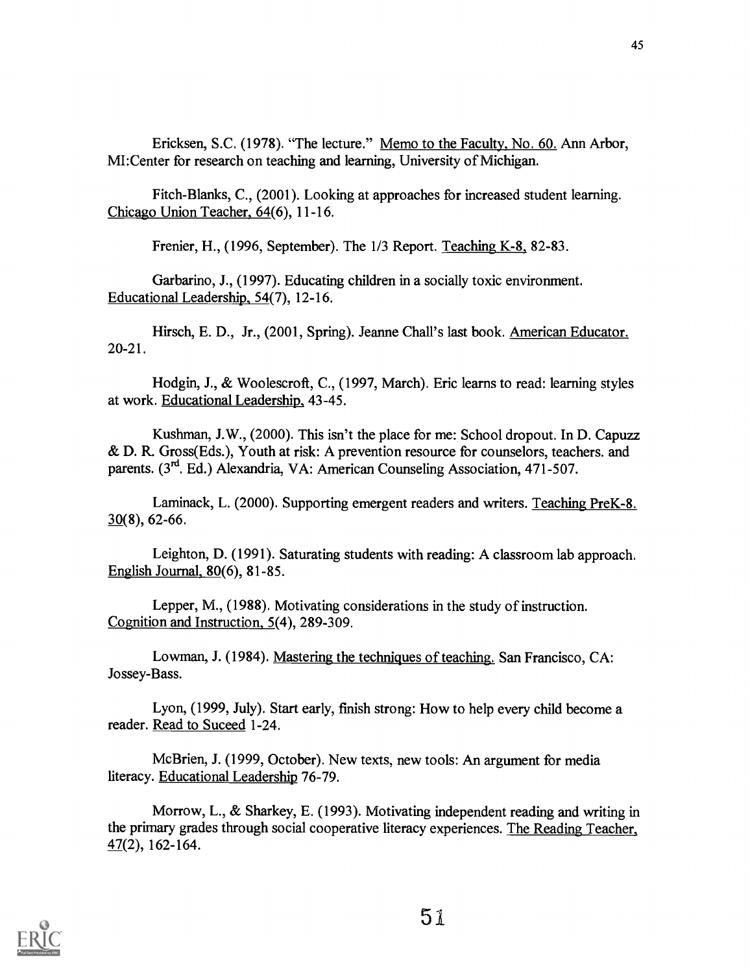Ericksen, S.C. (1978). "The lecture." Memo to the Faculty, No. 60. Ann Arbor, MI:Center for research on teaching and learning, University of Michigan.

Fitch-Blanks, C., (2001). Looking at approaches for increased student learning. Chicago Union Teacher, 64(6), 11-16.

Frenier, H.,  $(1996, September)$ . The  $1/3$  Report. Teaching K-8, 82-83.

Garbarino, J., (1997). Educating children in a socially toxic environment. Educational Leadership, 54(7), 12-16.

Hirsch, E. D., Jr., (2001, Spring). Jeanne Chall's last book. American Educator. 20-21.

Hodgin, J., & Woolescroft, C., (1997, March). Eric learns to read: learning styles at work. Educational Leadership, 43-45.

Kushman, J.W., (2000). This isn't the place for me: School dropout. In D. Capuzz & D. R. Gross(Eds.), Youth at risk: A prevention resource for counselors, teachers. and parents. (3<sup>rd</sup>. Ed.) Alexandria, VA: American Counseling Association, 471-507.

Laminack, L. (2000). Supporting emergent readers and writers. Teaching PreK-8. 30(8), 62-66.

Leighton, D. (1991). Saturating students with reading: A classroom lab approach. English Journal, 80(6), 81-85.

Lepper, M., (1988). Motivating considerations in the study of instruction. Cognition and Instruction, 5(4), 289-309.

Lowman, J. (1984). Mastering the techniques of teaching. San Francisco, CA: Jossey-Bass.

Lyon, (1999, July). Start early, finish strong: How to help every child become a reader. Read to Suceed 1-24.

McBrien, J. (1999, October). New texts, new tools: An argument for media literacy. Educational Leadership 76-79.

Morrow, L., & Sharkey, E. (1993). Motivating independent reading and writing in the primary grades through social cooperative literacy experiences. The Reading Teacher,  $47(2)$ , 162-164.

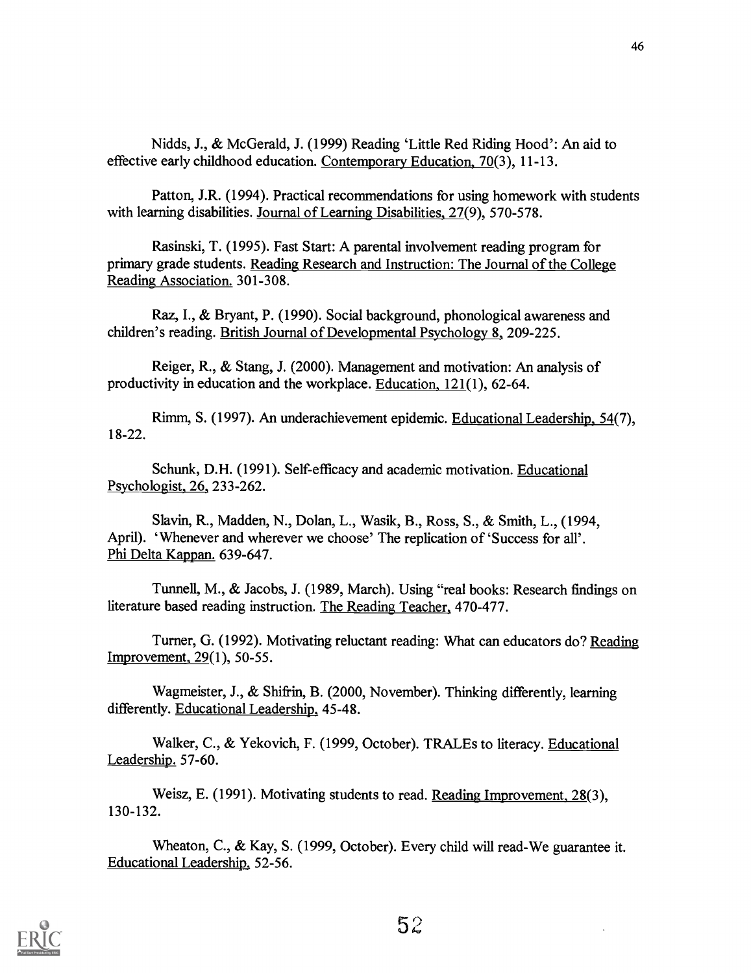Nidds, J., & Mc Gerald, J. (1999) Reading 'Little Red Riding Hood': An aid to effective early childhood education. Contemporary Education, 70(3), 11-13.

Patton, J.R. (1994). Practical recommendations for using homework with students with learning disabilities. Journal of Learning Disabilities, 27(9), 570-578.

Rasinski, T. (1995). Fast Start: A parental involvement reading program for primary grade students. Reading Research and Instruction: The Journal of the College Reading Association. 301-308.

Raz, I., & Bryant, P. (1990). Social background, phonological awareness and children's reading. British Journal of Developmental Psychology 8, 209-225.

Reiger, R., & Stang, J. (2000). Management and motivation: An analysis of productivity in education and the workplace. Education, 121(1), 62-64.

Rimm, S. (1997). An underachievement epidemic. Educational Leadership, 54(7), 18-22.

Schunk, D.H. (1991). Self-efficacy and academic motivation. Educational Psychologist, 26 233-262.

Slavin, R., Madden, N., Dolan, L., Wasik, B., Ross, S., & Smith, L., (1994, April). 'Whenever and wherever we choose' The replication of 'Success for all'. Phi Delta Kappan. 639-647.

Tunnell, M., & Jacobs, J. (1989, March). Using "real books: Research findings on literature based reading instruction. The Reading Teacher., 470-477.

Turner, G. (1992). Motivating reluctant reading: What can educators do? Reading Improvement, 29(1), 50-55.

Wagmeister, J., & Shifrin, B. (2000, November). Thinking differently, learning differently. Educational Leadership, 45-48.

Walker, C., & Yekovich, F. (1999, October). TRALEs to literacy. Educational Leadership. 57-60.

Weisz, E. (1991). Motivating students to read. Reading Improvement, 28(3), 130-132.

Wheaton, C., & Kay, S. (1999, October). Every child will read-We guarantee it. Educational Leadership, 52-56.

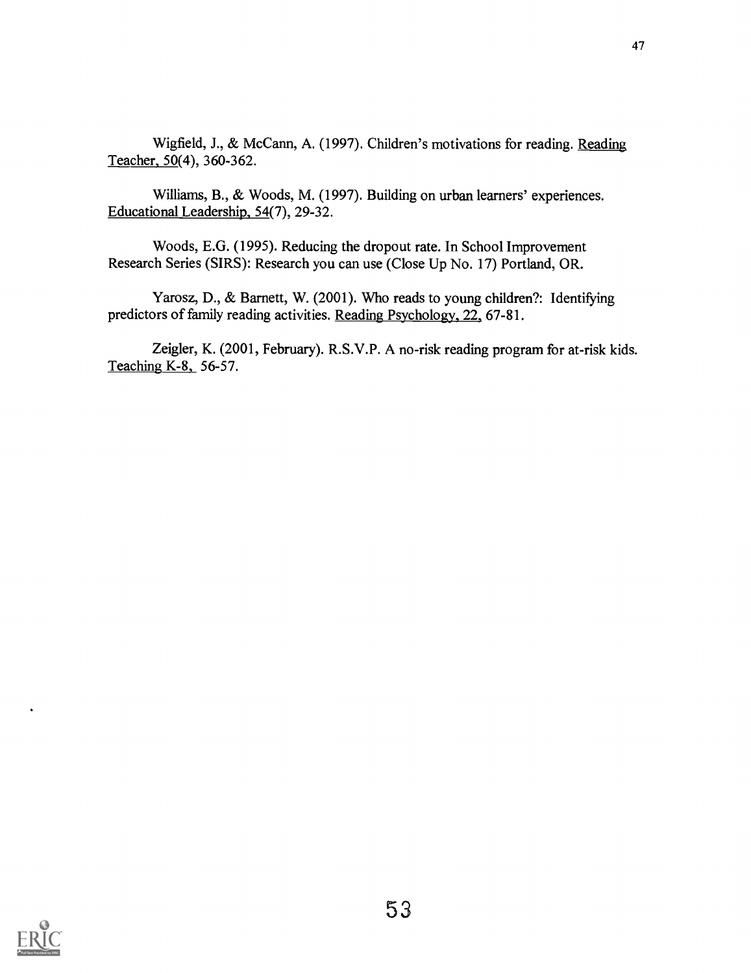Wigfield, J., & McCann, A. (1997). Children's motivations for reading. Reading Teacher, 50(4), 360-362.

Williams, B., & Woods, M. (1997). Building on urban learners' experiences. Educational Leadership, 54(7), 29-32.

Woods, E.G. (1995). Reducing the dropout rate. In School Improvement Research Series (SIRS): Research you can use (Close Up No. 17) Portland, OR.

Yarosz, D., & Barnett, W. (2001). Who reads to young children?: Identifying predictors of family reading activities. Reading Psychology, 22, 67-81.

Zeigler, K. (2001, February). R.S.V.P. A no-risk reading program for at-risk kids. Teaching K-8, 56-57.

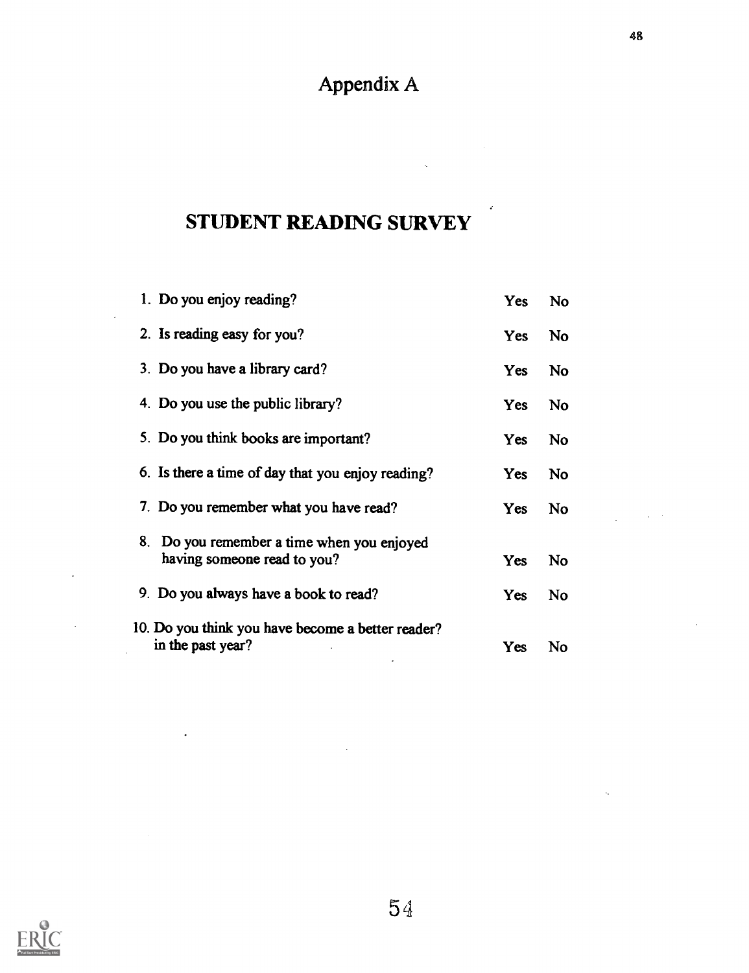## Appendix A

## STUDENT READING SURVEY

| 1. Do you enjoy reading?                          | Yes        | <b>No</b> |
|---------------------------------------------------|------------|-----------|
| 2. Is reading easy for you?                       | <b>Yes</b> | No        |
| 3. Do you have a library card?                    | <b>Yes</b> | No.       |
| 4. Do you use the public library?                 | <b>Yes</b> | <b>No</b> |
| 5. Do you think books are important?              | Yes        | No        |
| 6. Is there a time of day that you enjoy reading? | Yes        | No        |
| 7. Do you remember what you have read?            | Yes        | <b>No</b> |
| 8. Do you remember a time when you enjoyed        |            |           |
| having someone read to you?                       | Yes        | <b>No</b> |
| 9. Do you always have a book to read?             | Yes        | <b>No</b> |
| 10. Do you think you have become a better reader? |            |           |
| in the past year?                                 | Yes        | No        |

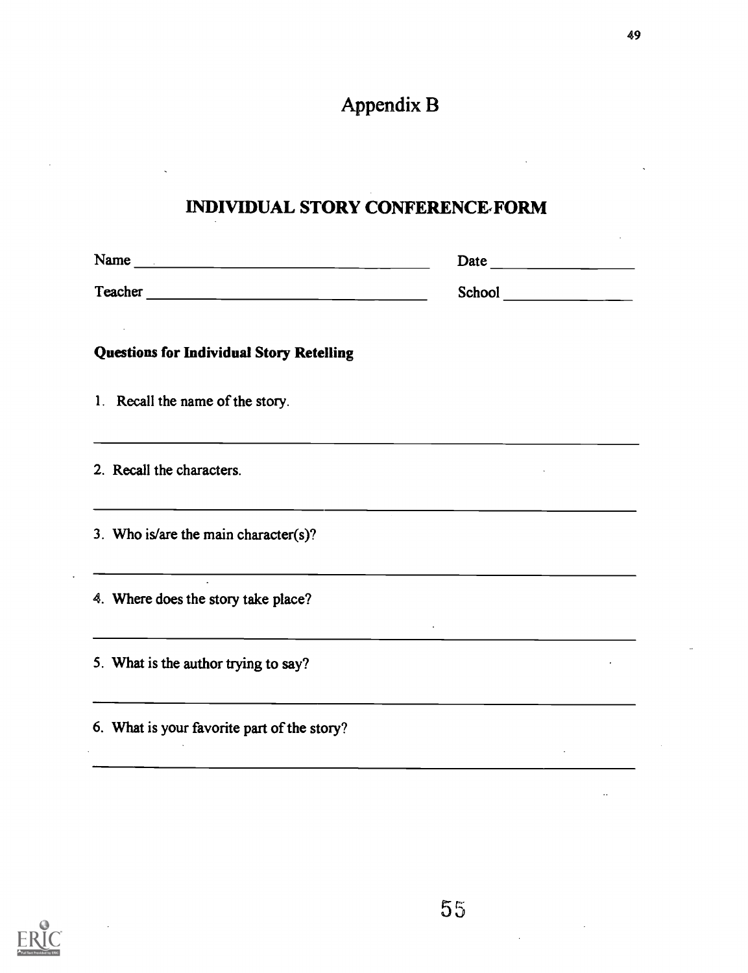# Appendix B

## INDIVIDUAL STORY CONFERENCE,FORM

| <b>Questions for Individual Story Retelling</b>                                                      |  |
|------------------------------------------------------------------------------------------------------|--|
| 1. Recall the name of the story.                                                                     |  |
| 2. Recall the characters.                                                                            |  |
| 3. Who is/are the main character(s)?                                                                 |  |
| <u> 1980 - John Stein, marking and de Brazilian (b. 1980)</u><br>4. Where does the story take place? |  |
| 5. What is the author trying to say?                                                                 |  |
| 6. What is your favorite part of the story?                                                          |  |

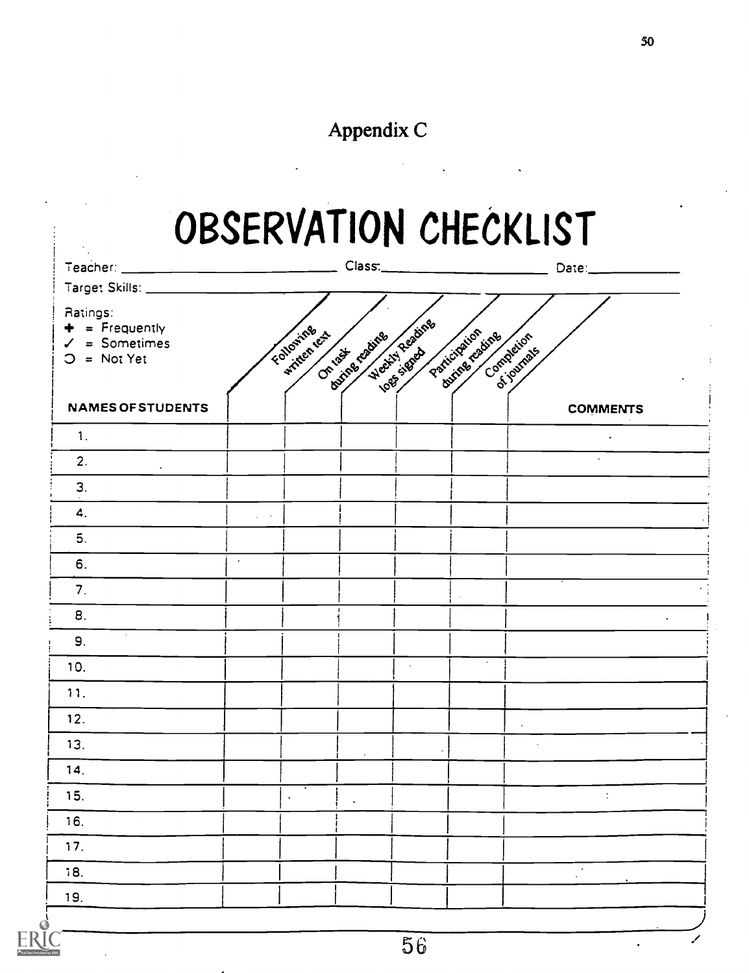## Appendix C

# OBSERVATION CHECKLIST

 $\label{eq:2.1} \frac{1}{2} \int_{\mathbb{R}^3} \frac{1}{\sqrt{2}} \left( \frac{1}{2} \sum_{i=1}^3 \frac{1}{2} \sum_{j=1}^3 \frac{1}{2} \sum_{j=1}^3 \frac{1}{2} \sum_{j=1}^3 \frac{1}{2} \sum_{j=1}^3 \frac{1}{2} \sum_{j=1}^3 \frac{1}{2} \sum_{j=1}^3 \frac{1}{2} \sum_{j=1}^3 \frac{1}{2} \sum_{j=1}^3 \frac{1}{2} \sum_{j=1}^3 \frac{1}{2} \sum_{j=1}^3 \frac{$ 

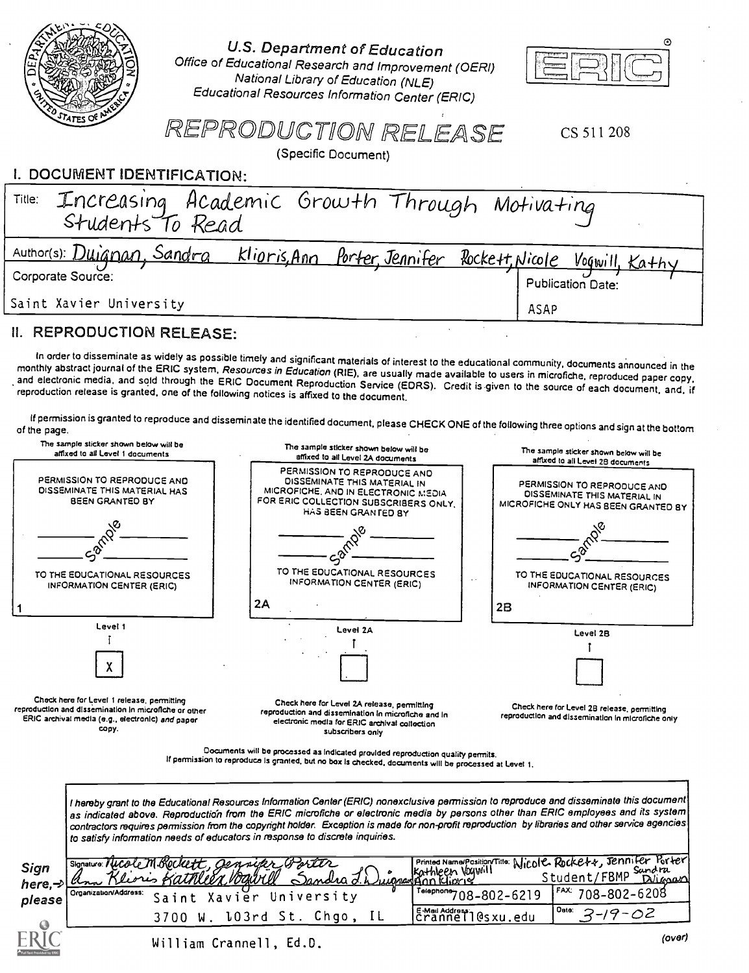|                                                                                                                                                                  | U.S. Department of Education<br>Office of Educational Research and Improvement (OERI)<br>National Library of Education (NLE)<br>Educational Resources Information Center (ERIC)<br>REPRODUCTION RELEASE<br>CS 511 208                                                                                                                                                                                                                                                                                                                                     |
|------------------------------------------------------------------------------------------------------------------------------------------------------------------|-----------------------------------------------------------------------------------------------------------------------------------------------------------------------------------------------------------------------------------------------------------------------------------------------------------------------------------------------------------------------------------------------------------------------------------------------------------------------------------------------------------------------------------------------------------|
|                                                                                                                                                                  | (Specific Document)                                                                                                                                                                                                                                                                                                                                                                                                                                                                                                                                       |
| I. DOCUMENT IDENTIFICATION:                                                                                                                                      |                                                                                                                                                                                                                                                                                                                                                                                                                                                                                                                                                           |
| Title:<br>Students To Read                                                                                                                                       | Increasing Academic Growth Through Motivating                                                                                                                                                                                                                                                                                                                                                                                                                                                                                                             |
| Author(s): Duianan, Sandra                                                                                                                                       | <u>klioris</u> Ann Porter, Jennifer Rockett, Nicole                                                                                                                                                                                                                                                                                                                                                                                                                                                                                                       |
| Corporate Source:                                                                                                                                                | Voqwill,<br><b>Publication Date:</b>                                                                                                                                                                                                                                                                                                                                                                                                                                                                                                                      |
| Saint Xavier University                                                                                                                                          |                                                                                                                                                                                                                                                                                                                                                                                                                                                                                                                                                           |
| <b>II. REPRODUCTION RELEASE:</b>                                                                                                                                 | <b>ASAP</b>                                                                                                                                                                                                                                                                                                                                                                                                                                                                                                                                               |
|                                                                                                                                                                  | In order to disseminate as widely as possible timely and significant materials of interest to the educational community, documents announced in the<br>monthly abstract journal of the ERIC system, Resources in Education (RIE), are usually made available to users in microfiche, reproduced paper copy,<br>and electronic media, and sold through the ERIC Document Reproduction Service (EDRS). Credit is given to the source of each document, and, if<br>reproduction release is granted, one of the following notices is affixed to the document. |
| of the page.                                                                                                                                                     | If permission is granted to reproduce and disseminate the identified document, please CHECK ONE of the following three options and sign at the bottom                                                                                                                                                                                                                                                                                                                                                                                                     |
| The sample sticker shown below will be<br>affixed to all Level 1 documents                                                                                       | The sample sticker shown below will be<br>The sample sticker shown below will be<br>affixed to all Level 2A documents<br>affixed to all Level 2B documents                                                                                                                                                                                                                                                                                                                                                                                                |
| PERMISSION TO REPRODUCE AND<br>DISSEMINATE THIS MATERIAL HAS<br>BEEN GRANTED BY                                                                                  | PERMISSION TO REPRODUCE AND<br>DISSEMINATE THIS MATERIAL IN<br>PERMISSION TO REPRODUCE AND<br>MICROFICHE, AND IN ELECTRONIC MEDIA<br>DISSEMINATE THIS MATERIAL IN<br>FOR ERIC COLLECTION SUBSCRIBERS ONLY.<br>MICROFICHE ONLY HAS BEEN GRANTED BY<br>HAS BEEN GRANTED BY                                                                                                                                                                                                                                                                                  |
|                                                                                                                                                                  |                                                                                                                                                                                                                                                                                                                                                                                                                                                                                                                                                           |
| TO THE EDUCATIONAL RESOURCES<br>INFORMATION CENTER (ERIC)                                                                                                        | TO THE EDUCATIONAL RESOURCES<br>TO THE EDUCATIONAL RESOURCES<br>$\sim$ $\sim$<br><b>INFORMATION CENTER (ERIC)</b><br><b>INFORMATION CENTER (ERIC)</b>                                                                                                                                                                                                                                                                                                                                                                                                     |
|                                                                                                                                                                  | 2A<br>2B                                                                                                                                                                                                                                                                                                                                                                                                                                                                                                                                                  |
| Level 1                                                                                                                                                          | Level 2A<br>Level 2B                                                                                                                                                                                                                                                                                                                                                                                                                                                                                                                                      |
|                                                                                                                                                                  |                                                                                                                                                                                                                                                                                                                                                                                                                                                                                                                                                           |
|                                                                                                                                                                  |                                                                                                                                                                                                                                                                                                                                                                                                                                                                                                                                                           |
| Check here for Level 1 release, permitting<br>reproduction and dissemination in microfiche or other<br>ERIC archival media (e.g., electronic) and paper<br>copy. | Check here for Level 2A release, permitting<br>Check here for Level 2B release, permitting<br>reproduction and dissemination in microfiche and in<br>reproduction and dissemination in microfiche only<br>electronic media for ERIC archival collection<br>subscribers only                                                                                                                                                                                                                                                                               |
|                                                                                                                                                                  | Documents will be processed as indicated provided reproduction quality permits.<br>If permission to reproduce is granted, but no box is checked, documents will be processed at Level 1.                                                                                                                                                                                                                                                                                                                                                                  |
|                                                                                                                                                                  |                                                                                                                                                                                                                                                                                                                                                                                                                                                                                                                                                           |
|                                                                                                                                                                  | I hereby grant to the Educational Resources Information Center (ERIC) nonexclusive permission to reproduce and disseminate this document<br>as indicated above. Reproduction from the ERIC microfiche or electronic media by persons other than ERIC employees and its system<br>contractors requires permission from the copyright holder. Exception is made for non-profit reproduction by libraries and other service agencies<br>to satisfy information needs of educators in response to discrete inquiries.                                         |
| Sign                                                                                                                                                             | Printed Name/Position/Title: Nicole Rockett, Jennifer Porter<br>ockett. Gennier<br>kathleen Voywill<br>uugaangan Klickis<br>Student/FBMP Sandra                                                                                                                                                                                                                                                                                                                                                                                                           |
| here, $\rightarrow$<br>Organization/Address:                                                                                                                     | XIIN VOTA<br><b>DUIGOLO</b><br>FAX:<br>Telephone 708-802-6219<br>708-802-6208<br>Saint Xavier University                                                                                                                                                                                                                                                                                                                                                                                                                                                  |
| please                                                                                                                                                           | Date:<br>E-Med Address:<br>Crannell@sxu.edu<br>-19-02<br>3<br>3700 W. 103rd St. Chgo, IL                                                                                                                                                                                                                                                                                                                                                                                                                                                                  |
|                                                                                                                                                                  | (over)<br>William Crannell, Ed.D.                                                                                                                                                                                                                                                                                                                                                                                                                                                                                                                         |
|                                                                                                                                                                  |                                                                                                                                                                                                                                                                                                                                                                                                                                                                                                                                                           |